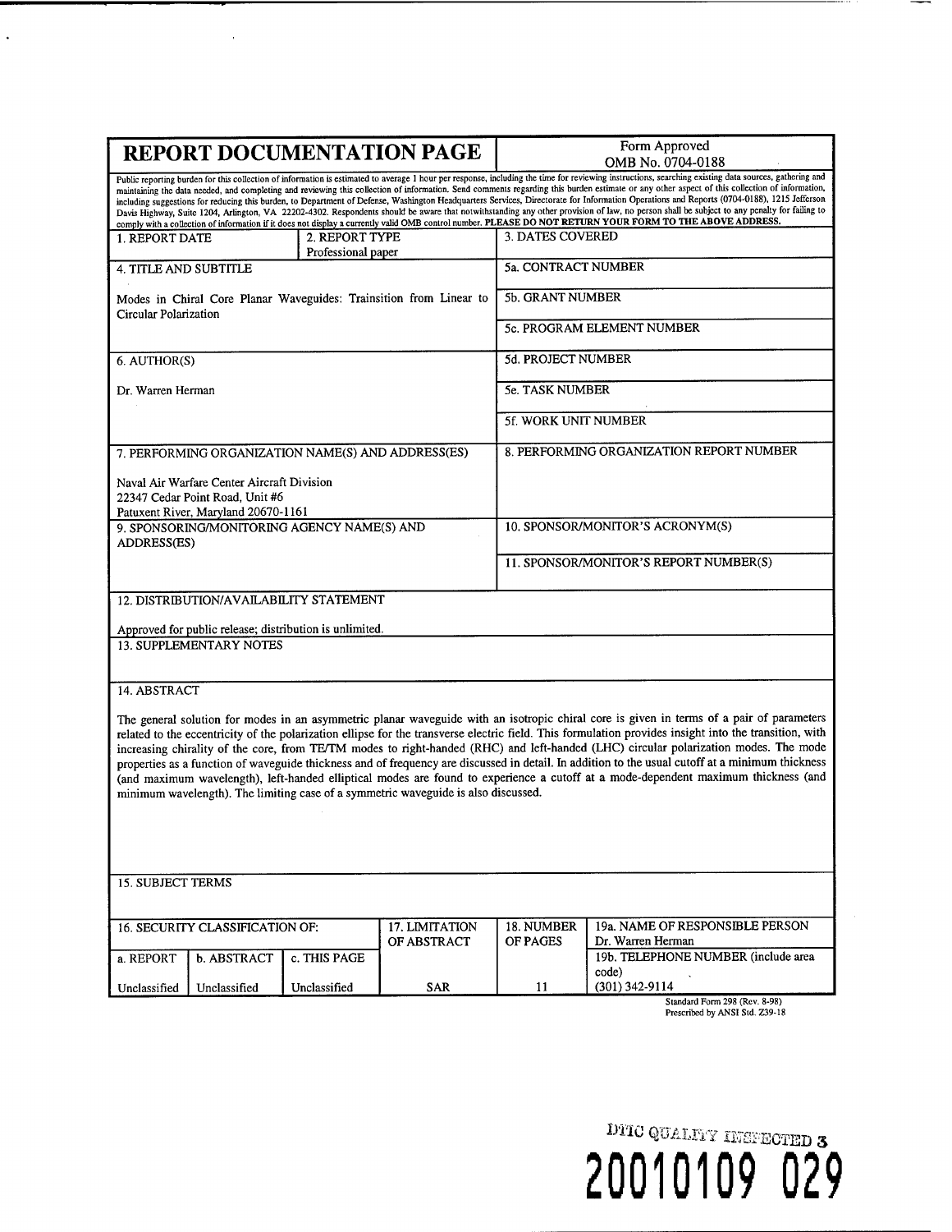| <b>REPORT DOCUMENTATION PAGE</b>                                                                                                                                                                                                                                                                                                                                                                                                                                                                                                                                                                                                                                                                                                                       |                                 |                                                    |                                                                    |                            | Form Approved                                            |  |
|--------------------------------------------------------------------------------------------------------------------------------------------------------------------------------------------------------------------------------------------------------------------------------------------------------------------------------------------------------------------------------------------------------------------------------------------------------------------------------------------------------------------------------------------------------------------------------------------------------------------------------------------------------------------------------------------------------------------------------------------------------|---------------------------------|----------------------------------------------------|--------------------------------------------------------------------|----------------------------|----------------------------------------------------------|--|
| Public reporting burden for this collection of information is estimated to average 1 hour per response, including the time for reviewing instructions, searching existing data sources, gathering and                                                                                                                                                                                                                                                                                                                                                                                                                                                                                                                                                  |                                 |                                                    |                                                                    | OMB No. 0704-0188          |                                                          |  |
| maintaining the data needed, and completing and reviewing this collection of information. Send comments regarding this burden estimate or any other aspect of this collection of information,<br>including suggestions for reducing this burden, to Department of Defense, Washington Headquarters Services, Directorate for Information Operations and Reports (0704-0188), 1215 Jefferson<br>Davis Highway, Suite 1204, Arlington, VA 22202-4302. Respondents should be aware that notwithstanding any other provision of law, no person shall be subject to any penalty for failing to<br>comply with a collection of information if it does not display a currently valid OMB control number. PLEASE DO NOT RETURN YOUR FORM TO THE ABOVE ADDRESS. |                                 |                                                    |                                                                    |                            |                                                          |  |
| 2. REPORT TYPE<br><b>1. REPORT DATE</b>                                                                                                                                                                                                                                                                                                                                                                                                                                                                                                                                                                                                                                                                                                                |                                 |                                                    |                                                                    | 3. DATES COVERED           |                                                          |  |
|                                                                                                                                                                                                                                                                                                                                                                                                                                                                                                                                                                                                                                                                                                                                                        |                                 | Professional paper                                 |                                                                    |                            |                                                          |  |
| 4. TITLE AND SUBTITLE                                                                                                                                                                                                                                                                                                                                                                                                                                                                                                                                                                                                                                                                                                                                  |                                 |                                                    |                                                                    | <b>5a. CONTRACT NUMBER</b> |                                                          |  |
| Circular Polarization                                                                                                                                                                                                                                                                                                                                                                                                                                                                                                                                                                                                                                                                                                                                  |                                 |                                                    | Modes in Chiral Core Planar Waveguides: Trainsition from Linear to | <b>5b. GRANT NUMBER</b>    |                                                          |  |
|                                                                                                                                                                                                                                                                                                                                                                                                                                                                                                                                                                                                                                                                                                                                                        |                                 |                                                    |                                                                    |                            | 5c. PROGRAM ELEMENT NUMBER                               |  |
| 6. AUTHOR(S)                                                                                                                                                                                                                                                                                                                                                                                                                                                                                                                                                                                                                                                                                                                                           |                                 |                                                    |                                                                    | 5d. PROJECT NUMBER         |                                                          |  |
| Dr. Warren Herman                                                                                                                                                                                                                                                                                                                                                                                                                                                                                                                                                                                                                                                                                                                                      |                                 |                                                    |                                                                    | <b>5e. TASK NUMBER</b>     |                                                          |  |
|                                                                                                                                                                                                                                                                                                                                                                                                                                                                                                                                                                                                                                                                                                                                                        |                                 |                                                    |                                                                    | 5f. WORK UNIT NUMBER       |                                                          |  |
|                                                                                                                                                                                                                                                                                                                                                                                                                                                                                                                                                                                                                                                                                                                                                        |                                 | 7. PERFORMING ORGANIZATION NAME(S) AND ADDRESS(ES) |                                                                    |                            | 8. PERFORMING ORGANIZATION REPORT NUMBER                 |  |
| Naval Air Warfare Center Aircraft Division                                                                                                                                                                                                                                                                                                                                                                                                                                                                                                                                                                                                                                                                                                             |                                 |                                                    |                                                                    |                            |                                                          |  |
| 22347 Cedar Point Road. Unit #6<br>Patuxent River, Maryland 20670-1161                                                                                                                                                                                                                                                                                                                                                                                                                                                                                                                                                                                                                                                                                 |                                 |                                                    |                                                                    |                            |                                                          |  |
| ADDRESS(ES)                                                                                                                                                                                                                                                                                                                                                                                                                                                                                                                                                                                                                                                                                                                                            |                                 | 9. SPONSORING/MONITORING AGENCY NAME(S) AND        |                                                                    |                            | 10. SPONSOR/MONITOR'S ACRONYM(S)                         |  |
|                                                                                                                                                                                                                                                                                                                                                                                                                                                                                                                                                                                                                                                                                                                                                        |                                 |                                                    |                                                                    |                            | 11. SPONSOR/MONITOR'S REPORT NUMBER(S)                   |  |
| 12. DISTRIBUTION/AVAILABILITY STATEMENT                                                                                                                                                                                                                                                                                                                                                                                                                                                                                                                                                                                                                                                                                                                |                                 |                                                    |                                                                    |                            |                                                          |  |
| Approved for public release; distribution is unlimited.                                                                                                                                                                                                                                                                                                                                                                                                                                                                                                                                                                                                                                                                                                |                                 |                                                    |                                                                    |                            |                                                          |  |
| <b>13. SUPPLEMENTARY NOTES</b>                                                                                                                                                                                                                                                                                                                                                                                                                                                                                                                                                                                                                                                                                                                         |                                 |                                                    |                                                                    |                            |                                                          |  |
|                                                                                                                                                                                                                                                                                                                                                                                                                                                                                                                                                                                                                                                                                                                                                        |                                 |                                                    |                                                                    |                            |                                                          |  |
| 14. ABSTRACT                                                                                                                                                                                                                                                                                                                                                                                                                                                                                                                                                                                                                                                                                                                                           |                                 |                                                    |                                                                    |                            |                                                          |  |
| The general solution for modes in an asymmetric planar waveguide with an isotropic chiral core is given in terms of a pair of parameters                                                                                                                                                                                                                                                                                                                                                                                                                                                                                                                                                                                                               |                                 |                                                    |                                                                    |                            |                                                          |  |
| related to the eccentricity of the polarization ellipse for the transverse electric field. This formulation provides insight into the transition, with<br>increasing chirality of the core, from TE/TM modes to right-handed (RHC) and left-handed (LHC) circular polarization modes. The mode                                                                                                                                                                                                                                                                                                                                                                                                                                                         |                                 |                                                    |                                                                    |                            |                                                          |  |
| properties as a function of waveguide thickness and of frequency are discussed in detail. In addition to the usual cutoff at a minimum thickness                                                                                                                                                                                                                                                                                                                                                                                                                                                                                                                                                                                                       |                                 |                                                    |                                                                    |                            |                                                          |  |
| (and maximum wavelength), left-handed elliptical modes are found to experience a cutoff at a mode-dependent maximum thickness (and                                                                                                                                                                                                                                                                                                                                                                                                                                                                                                                                                                                                                     |                                 |                                                    |                                                                    |                            |                                                          |  |
| minimum wavelength). The limiting case of a symmetric waveguide is also discussed.                                                                                                                                                                                                                                                                                                                                                                                                                                                                                                                                                                                                                                                                     |                                 |                                                    |                                                                    |                            |                                                          |  |
|                                                                                                                                                                                                                                                                                                                                                                                                                                                                                                                                                                                                                                                                                                                                                        |                                 |                                                    |                                                                    |                            |                                                          |  |
|                                                                                                                                                                                                                                                                                                                                                                                                                                                                                                                                                                                                                                                                                                                                                        |                                 |                                                    |                                                                    |                            |                                                          |  |
|                                                                                                                                                                                                                                                                                                                                                                                                                                                                                                                                                                                                                                                                                                                                                        |                                 |                                                    |                                                                    |                            |                                                          |  |
| <b>15. SUBJECT TERMS</b>                                                                                                                                                                                                                                                                                                                                                                                                                                                                                                                                                                                                                                                                                                                               |                                 |                                                    |                                                                    |                            |                                                          |  |
|                                                                                                                                                                                                                                                                                                                                                                                                                                                                                                                                                                                                                                                                                                                                                        | 16. SECURITY CLASSIFICATION OF: |                                                    | 17. LIMITATION                                                     | 18. NUMBER                 | 19a. NAME OF RESPONSIBLE PERSON                          |  |
| a. REPORT                                                                                                                                                                                                                                                                                                                                                                                                                                                                                                                                                                                                                                                                                                                                              | b. ABSTRACT                     | c. THIS PAGE                                       | OF ABSTRACT                                                        | OF PAGES                   | Dr. Warren Herman<br>19b. TELEPHONE NUMBER (include area |  |
|                                                                                                                                                                                                                                                                                                                                                                                                                                                                                                                                                                                                                                                                                                                                                        |                                 |                                                    |                                                                    |                            | code)                                                    |  |
| Unclassified                                                                                                                                                                                                                                                                                                                                                                                                                                                                                                                                                                                                                                                                                                                                           | Unclassified                    | Unclassified                                       | SAR                                                                | 11                         | (301) 342-9114<br>Standard Form 298 (Rev. 8-98)          |  |
| Prescribed by ANSI Std. Z39-18                                                                                                                                                                                                                                                                                                                                                                                                                                                                                                                                                                                                                                                                                                                         |                                 |                                                    |                                                                    |                            |                                                          |  |

 $\ddot{\phantom{0}}$ 

DITO QUALTIY INSPECTED 3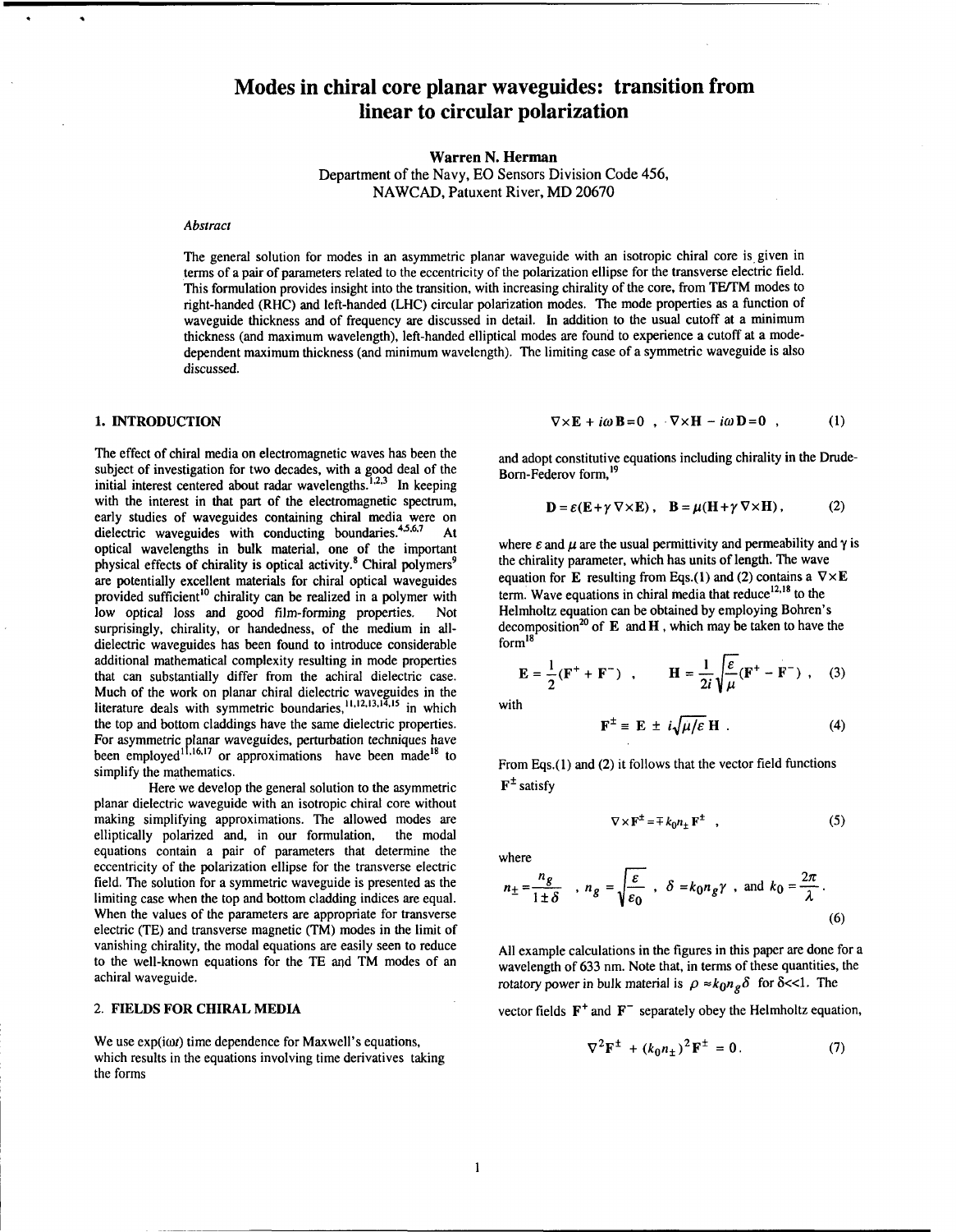# **Modes in chiral core planar waveguides: transition from linear to circular polarization**

**Warren N. Herman** 

Department **of** the Navy, EO Sensors Division Code 456, NAWCAD, Patuxent River, MD 20670

#### **Abstract**

The general solution for modes in an asymmetric planar waveguide with an isotropic chiral core is given in terms of a pair of parameters related to the eccentricity of the polarization ellipse for the transverse electric field. This formulation provides insight into the transition, with increasing chirality of the core, from TE/TM modes to right-handed (RHC) and left-handed (LHC) circular polarization modes. The mode properties as a function of waveguide thickness and of frequency are discussed in detail. In addition to the usual cutoff at a minimum thickness (and maximum wavelength), left-handed elliptical modes are found to experience a cutoff at a modedependent maximum thickness (and minimum wavelength). The limiting case of a symmetric waveguide is also discussed.

# **1. INTRODUCTION**

The effect of chiral media on electromagnetic waves has been the subject of investigation for two decades, with a good deal of the initial interest centered about radar wavelengths. $^{1,2,3}$  In keeping with the interest in that part of the electromagnetic spectrum, early studies of waveguides containing chiral media were on dielectric waveguides with conducting boundaries.<sup>\*\*</sup>.<sup>00</sup> At optical wavelengths in bulk material, one of the important physical effects of chirality is optical activity.<sup>8</sup> Chiral polymers<sup>9</sup> are potentially excellent materials for chiral optical waveguides provided sufficient<sup>10</sup> chirality can be realized in a polymer with low optical loss and good film-forming properties. Not surprisingly, chirality, or handedness, of the medium in alldielectric waveguides has been found to introduce considerable additional mathematical complexity resulting in mode properties that can substantially differ from the achiral dielectric case. Much of the work on planar chiral dielectric waveguides in the literature deals with symmetric boundaries,<sup>11,12,13,14,15</sup> in which the top and bottom claddings have the same dielectric properties. For asymmetric planar waveguides, perturbation techniques have been employed<sup>11,16,17</sup> or approximations have been made<sup>18</sup> to simplify the mathematics.

Here we develop the general solution to the asymmetric planar dielectric waveguide with an isotropic chiral core without making simplifying approximations. The allowed modes are elliptically polarized and, in our formulation, the modal equations contain a pair of parameters that determine the eccentricity of the polarization ellipse for the transverse electric field. The solution for a symmetric waveguide is presented as the limiting case when the top and bottom cladding indices are equal. When the values of the parameters are appropriate for transverse electric (TE) and transverse magnetic (TM) modes in the limit of vanishing chirality, the modal equations are easily seen to reduce to the well-known equations for the TE and TM modes of an achiral waveguide.

### 2. **FIELDS FOR CHIRAL MEDIA**

We use  $exp(i\omega t)$  time dependence for Maxwell's equations, which results in the equations involving time derivatives taking the forms

$$
\nabla \times \mathbf{E} + i\omega \mathbf{B} = 0 \quad , \quad \nabla \times \mathbf{H} - i\omega \mathbf{D} = 0 \quad , \tag{1}
$$

and adopt constitutive equations including chirality in the Drude-Born-Federov form,<sup>19</sup>

$$
\mathbf{D} = \varepsilon (\mathbf{E} + \gamma \nabla \times \mathbf{E}), \quad \mathbf{B} = \mu (\mathbf{H} + \gamma \nabla \times \mathbf{H}), \tag{2}
$$

where  $\varepsilon$  and  $\mu$  are the usual permittivity and permeability and  $\gamma$  is the chirality parameter, which has units of length. The wave equation for **E** resulting from Eqs.(1) and (2) contains a  $\nabla \times \mathbf{E}$ term. Wave equations in chiral media that  $reduce<sup>12,18</sup>$  to the Helmholtz equation can be obtained by employing Bohren's decomposition<sup>20</sup> of **E** and **H**, which may be taken to have the form<sup>18</sup>

$$
\mathbf{E} = \frac{1}{2} (\mathbf{F}^+ + \mathbf{F}^-) , \qquad \mathbf{H} = \frac{1}{2i} \sqrt{\frac{\varepsilon}{\mu} (\mathbf{F}^+ - \mathbf{F}^-) , (3)}
$$

with

$$
\mathbf{F}^{\pm} \equiv \mathbf{E} \pm i\sqrt{\mu/\varepsilon} \mathbf{H} \ . \tag{4}
$$

From Eqs.(l) and (2) it follows that the vector field functions **F'** satisfy

$$
\nabla \times \mathbf{F}^{\pm} = \mp k_0 n_{\pm} \mathbf{F}^{\pm} \quad , \tag{5}
$$

where

where  
\n
$$
n_{\pm} = \frac{n_g}{1 \pm \delta}
$$
,  $n_g = \sqrt{\frac{\varepsilon}{\varepsilon_0}}$ ,  $\delta = k_0 n_g \gamma$ , and  $k_0 = \frac{2\pi}{\lambda}$ . (6)

All example calculations in the figures in this paper are done for a wavelength of **633** nm. Note that, in terms of these quantities, the rotatory power in bulk material is  $\rho \approx k_0 n_e \delta$  for  $\delta \ll 1$ . The

vector fields  $\mathbf{F}^+$  and  $\mathbf{F}^-$  separately obey the Helmholtz equation,

$$
\nabla^2 \mathbf{F}^{\pm} + (k_0 n_{\pm})^2 \mathbf{F}^{\pm} = 0. \tag{7}
$$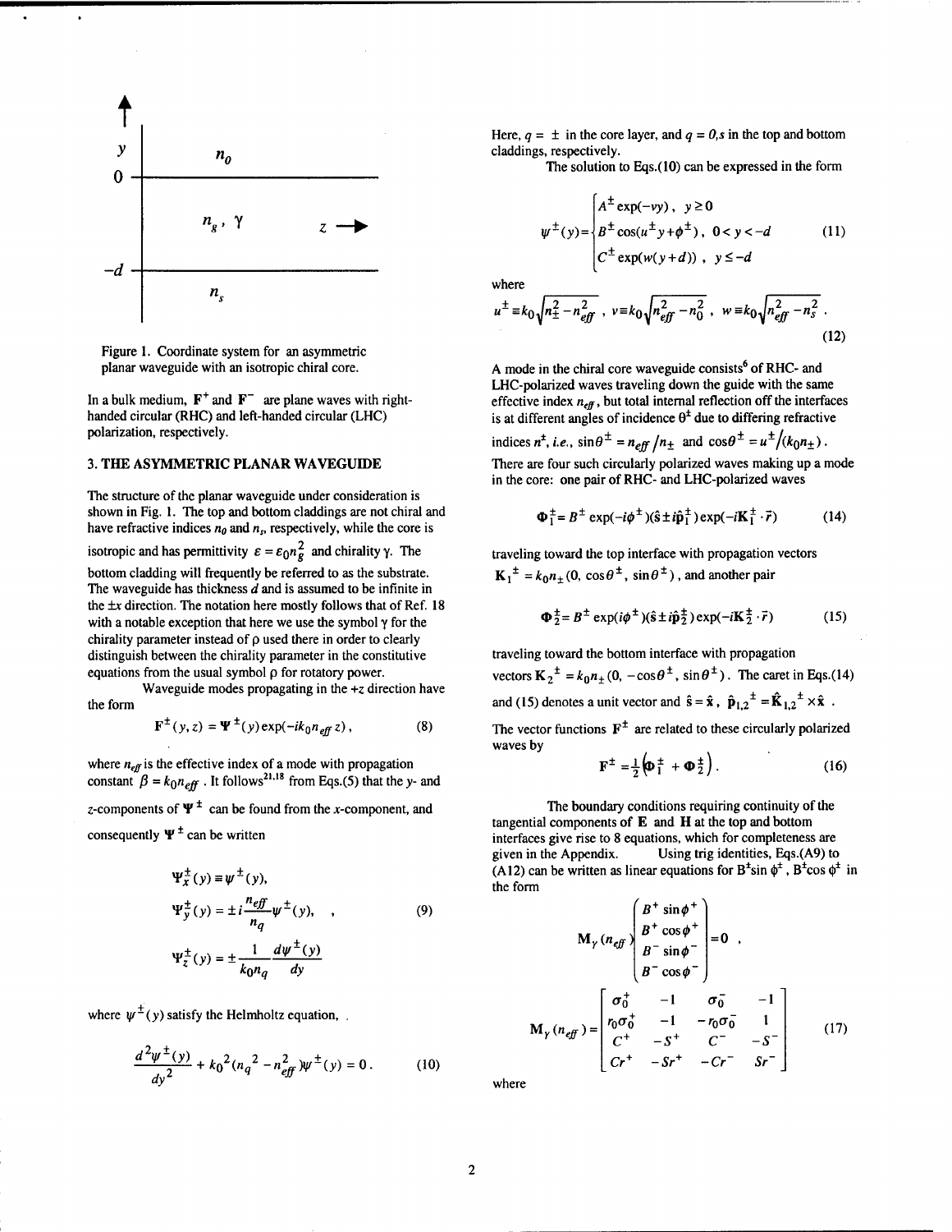

Figure 1. Coordinate system for an asymmetric planar waveguide with an isotropic chiral core.

In a bulk medium,  $F^+$  and  $F^-$  are plane waves with righthanded circular (RHC) and left-handed circular (LHC) polarization, respectively.

# **3. THE ASYMMETRIC PLANAR WAVEGUIDE**

The structure of the planar waveguide under consideration is shown in Fig. 1. The top and bottom claddings are not chiral and have refractive indices  $n_0$  and  $n_s$ , respectively, while the core is isotropic and has permittivity  $\varepsilon = \varepsilon_0 n_g^2$  and chirality  $\gamma$ . The bottom cladding will frequently be referred to as the substrate. The waveguide has thickness  $d$  and is assumed to be infinite in the  $\pm x$  direction. The notation here mostly follows that of Ref. 18 with a notable exception that here we use the symbol y for the chirality parameter instead of **p** used there in order to clearly distinguish between the chirality parameter in the constitutive equations from the usual symbol **p** for rotatory power.

Waveguide modes propagating in the *+z* direction have the form

$$
\mathbf{F}^{\pm}(y,z) = \mathbf{\Psi}^{\pm}(y) \exp(-ik_0 n_{\text{eff}} z), \qquad (8)
$$

where  $n_{\text{eff}}$  is the effective index of a mode with propagation constant  $\beta = k_0 n_{\text{eff}}$ . It follows<sup>21,18</sup> from Eqs.(5) that the y- and z-components of  $\Psi^{\pm}$  can be found from the x-component, and

consequently  $\Psi^{\pm}$  can be written

$$
\Psi_x^{\pm}(y) \equiv \psi^{\pm}(y),
$$
  
\n
$$
\Psi_y^{\pm}(y) = \pm i \frac{n_{eff}}{n_q} \psi^{\pm}(y), \qquad (9)
$$
  
\n
$$
\Psi_z^{\pm}(y) = \pm \frac{1}{k_0 n_q} \frac{d\psi^{\pm}(y)}{dy}
$$

where  $\psi^{\pm}(y)$  satisfy the Helmholtz equation,

$$
\frac{d^2\psi^{\pm}(y)}{dy^2} + k_0^2(n_q^2 - n_{eff}^2)\psi^{\pm}(y) = 0.
$$
 (10)

Here,  $q = \pm$  in the core layer, and  $q = 0$ , s in the top and bottom claddings, respectively.

The solution to Eqs.(10) can be expressed in the form

$$
\psi^{\pm}(y) = \begin{cases} A^{\pm} \exp(-vy), & y \ge 0 \\ B^{\pm} \cos(u^{\pm} y + \phi^{\pm}), & 0 < y < -d \\ C^{\pm} \exp(w(y+d)), & y \le -d \end{cases}
$$
 (11)

where

$$
u^{\pm} = k_0 \sqrt{n_{\pm}^2 - n_{\text{eff}}^2}, \quad v = k_0 \sqrt{n_{\text{eff}}^2 - n_0^2}, \quad w = k_0 \sqrt{n_{\text{eff}}^2 - n_s^2} \tag{12}
$$

A mode in the chiral core waveguide consists<sup>6</sup> of RHC- and LHC-polarized waves traveling down the guide with the same effective index  $n_{\text{eff}}$ , but total internal reflection off the interfaces is at different angles of incidence  $\theta^{\pm}$  due to differing refractive

indices  $n^{\pm}$ , *i.e.*,  $\sin \theta^{\pm} = n_{eff} / n_{\pm}$  and  $\cos \theta^{\pm} = u^{\pm}/(k_0 n_{\pm})$ . There are four such circularly polarized waves making up a mode in the core: one pair of RHC- and LHC-polarized waves

$$
\Phi_1^{\pm} = B^{\pm} \exp(-i\phi^{\pm})(\hat{s} \pm i\hat{p}_1^{\pm}) \exp(-iK_1^{\pm} \cdot \vec{r})
$$
 (14)

traveling toward the top interface with propagation vectors  ${\bf K}_1^{\dagger} = k_0 n_+(0, \cos\theta^{\dagger}, \sin\theta^{\dagger})$ , and another pair

$$
\Phi_2^{\pm} = B^{\pm} \exp(i\phi^{\pm})(\hat{s} \pm i\hat{p}_2^{\pm}) \exp(-i\mathbf{K}_2^{\pm} \cdot \vec{r})
$$
 (15)

traveling toward the bottom interface with propagation vectors  $K_2^{\pm} = k_0 n_+ (0, -\cos \theta^{\pm}, \sin \theta^{\pm})$ . The caret in Eqs.(14) and (15) denotes a unit vector and  $\hat{\mathbf{s}} = \hat{\mathbf{x}}$ ,  $\hat{\mathbf{p}}_{1,2}^{\dagger} = \hat{\mathbf{K}}_{1,2}^{\dagger} \times \hat{\mathbf{x}}$ .

The vector functions  $F^{\pm}$  are related to these circularly polarized waves by

$$
\mathbf{F}^{\pm} = \frac{1}{2} \left( \mathbf{D}_{1}^{\pm} + \mathbf{D}_{2}^{\pm} \right). \tag{16}
$$

The boundary conditions requiring continuity of the tangential components of E and **H** at the top and bottom interfaces give rise to 8 equations, which for completeness are given in the Appendix. Using trig identities, Eqs.(A9) to Using trig identities, Eqs.(A9) to (A12) can be written as linear equations for  $B^{\dagger} \sin \phi^{\dagger}$ ,  $B^{\dagger} \cos \phi^{\dagger}$  in the form

$$
M_{\gamma} (n_{\text{eff}}) \begin{bmatrix} B^{+} \sin \phi^{+} \\ B^{+} \cos \phi^{+} \\ B^{-} \sin \phi^{-} \\ B^{-} \cos \phi^{-} \end{bmatrix} = 0 ,
$$
  

$$
M_{\gamma} (n_{\text{eff}}) = \begin{bmatrix} \sigma_{0}^{+} & -1 & \sigma_{0}^{-} & -1 \\ r_{0} \sigma_{0}^{+} & -1 & -r_{0} \sigma_{0}^{-} & 1 \\ C^{+} & -S^{+} & C^{-} & -S^{-} \\ C r^{+} & -S r^{+} & -C r^{-} & S r^{-} \end{bmatrix}
$$
(17)

where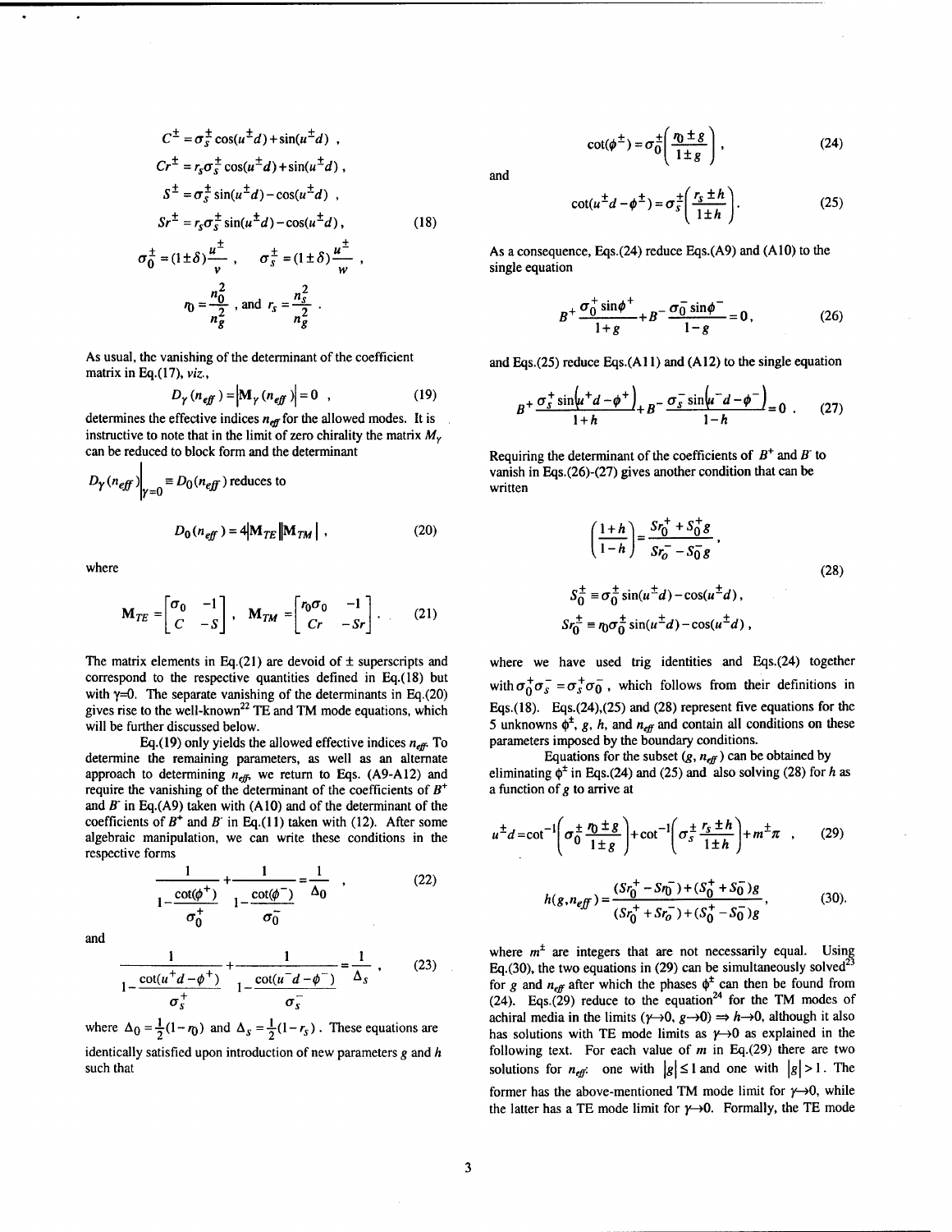$$
C^{\pm} = \sigma_{s}^{\pm} \cos(u^{\pm} d) + \sin(u^{\pm} d) ,
$$
  
\n
$$
Cr^{\pm} = r_{s} \sigma_{s}^{\pm} \cos(u^{\pm} d) + \sin(u^{\pm} d) ,
$$
  
\n
$$
S^{\pm} = \sigma_{s}^{\pm} \sin(u^{\pm} d) - \cos(u^{\pm} d) ,
$$
  
\n
$$
Sr^{\pm} = r_{s} \sigma_{s}^{\pm} \sin(u^{\pm} d) - \cos(u^{\pm} d) ,
$$
  
\n
$$
\sigma_{0}^{\pm} = (1 \pm \delta) \frac{u^{\pm}}{v} , \qquad \sigma_{s}^{\pm} = (1 \pm \delta) \frac{u^{\pm}}{w} ,
$$
  
\n
$$
r_{0} = \frac{n_{0}^{2}}{v} , \text{ and } r_{s} = \frac{n_{s}^{2}}{v} .
$$

 $n_g^2$ 

As usual, the vanishing of the determinant of the coefficient matrix in Eq.(17), **viz.,** 

 $n_g^2$ 

$$
D_{\gamma} (n_{\text{eff}}) = |M_{\gamma} (n_{\text{eff}})| = 0 \quad , \tag{19}
$$

determines the effective indices  $n_{\text{eff}}$  for the allowed modes. It is instructive to note that in the limit of zero chirality the matrix  $M_{\gamma}$ can be reduced to block form and the determinant  $\mathbf{I}$ 

$$
D_{\gamma}(n_{\text{eff}})|_{\gamma=0} \equiv D_0(n_{\text{eff}}) \text{ reduces to}
$$
  

$$
D_0(n_{\text{eff}}) = 4|\mathbf{M}_{TE}||\mathbf{M}_{TM}|,
$$
 (20)

where

$$
\mathbf{M}_{TE} = \begin{bmatrix} \sigma_0 & -1 \\ C & -S \end{bmatrix}, \quad \mathbf{M}_{TM} = \begin{bmatrix} r_0 \sigma_0 & -1 \\ Cr & -Sr \end{bmatrix}.
$$
 (21)

The matrix elements in Eq.(21) are devoid of  $\pm$  superscripts and correspond to the respective quantities defined in Eq.(18) but with  $\gamma=0$ . The separate vanishing of the determinants in Eq.(20) gives rise to the well-known<sup>22</sup> TE and TM mode equations, which will be further discussed below.

Eq.(19) only yields the allowed effective indices  $n_{\text{eff}}$ . To determine the remaining parameters, as well as an alternate approach to determining  $n_{\text{eff}}$ , we return to Eqs. (A9-A12) and require the vanishing of the determinant of the coefficients of *B+*  and *B-* in Eq.(A9) taken with (AIO) and of the determinant of the coefficients of  $B^+$  and  $B^-$  in Eq.(11) taken with (12). After some algebraic manipulation, we can write these conditions in the respective forms

$$
\frac{1}{1-\frac{\cot(\phi^+)}{\sigma_0^+}} + \frac{1}{1-\frac{\cot(\phi^-)}{\sigma_0^-}} = \frac{1}{\Delta_0} \quad , \tag{22}
$$

and

$$
\frac{1}{1 - \frac{\cot(u^+d - \phi^+)}{\sigma_s^+}} + \frac{1}{1 - \frac{\cot(u^-d - \phi^-)}{\sigma_s^-}} = \frac{1}{\Delta_s} \ , \qquad (23)
$$

where  $\Delta_0 = \frac{1}{2}(1 - r_0)$  and  $\Delta_s = \frac{1}{2}(1 - r_s)$ . These equations are identically satisfied upon introduction of new parameters **g** and h such that

$$
\cot(\phi^{\pm}) = \sigma_0^{\pm} \left( \frac{r_0 \pm g}{1 \pm g} \right), \qquad (24)
$$

and

$$
\cot(u^{\pm}d - \phi^{\pm}) = \sigma_s^{\pm} \left( \frac{r_s \pm h}{1 \pm h} \right). \tag{25}
$$

As a consequence, Eqs.(24) reduce Eqs.(A9) and (AIO) to the single equation

$$
B^{+} \frac{\sigma_0^{+} \sin \phi^{+}}{1+g} + B^{-} \frac{\sigma_0^{-} \sin \phi^{-}}{1-g} = 0, \qquad (26)
$$

and Eqs. $(25)$  reduce Eqs. $(A11)$  and  $(A12)$  to the single equation

$$
B^{+} \frac{\sigma_{s}^{+} \sin\left(u^{+} d - \phi^{+}\right)}{1+h} + B^{-} \frac{\sigma_{s}^{-} \sin\left(u^{-} d - \phi^{-}\right)}{1-h} = 0 \quad . \tag{27}
$$

Requiring the determinant of the coefficients of  $B^+$  and  $B^-$  to vanish in Eqs.(26)-(27) gives another condition that can be written

$$
\left(\frac{1+h}{1-h}\right) = \frac{Sr_0^+ + S_0^+ g}{Sr_0^- - S_0^- g},
$$
  
\n
$$
S_0^{\pm} \equiv \sigma_0^{\pm} \sin(u^{\pm} d) - \cos(u^{\pm} d),
$$
  
\n
$$
Sr_0^{\pm} \equiv \eta_0 \sigma_0^{\pm} \sin(u^{\pm} d) - \cos(u^{\pm} d),
$$
\n(28)

where we have used trig identities and Eqs.(24) together with  $\sigma_0^+\sigma_0^- = \sigma_s^+\sigma_0^-$ , which follows from their definitions in Eqs.(l8). Eqs.(24),(25) and (28) represent five equations for the 5 unknowns  $\phi^{\pm}$ , g, h, and  $n_{\text{eff}}$  and contain all conditions on these parameters imposed by the boundary conditions.

Equations for the subset  $(g, n_{\text{eff}})$  can be obtained by eliminating  $\phi^{\pm}$  in Eqs.(24) and (25) and also solving (28) for h as a function of  $g$  to arrive at

$$
u^{\pm}d = \cot^{-1}\left(\sigma_0^{\pm}\frac{r_0 \pm g}{1 \pm g}\right) + \cot^{-1}\left(\sigma_s^{\pm}\frac{r_s \pm h}{1 \pm h}\right) + m^{\pm}\pi \quad , \qquad (29)
$$

$$
h(g, n_{eff}) = \frac{(Sr_0^+ - Sn_0^-) + (S_0^+ + S_0^-)g}{(Sr_0^+ + Sr_0^-) + (S_0^+ - S_0^-)g},
$$
(30).

where  $m<sup>±</sup>$  are integers that are not necessarily equal. Using Eq.(30), the two equations in (29) can be simultaneously solved<sup>23</sup> for g and  $n_{\text{eff}}$  after which the phases  $\phi^{\text{F}}$  can then be found from  $(24)$ . Eqs.(29) reduce to the equation<sup>24</sup> for the TM modes of achiral media in the limits  $(\gamma \rightarrow 0, g \rightarrow 0) \Rightarrow h \rightarrow 0$ , although it also has solutions with TE mode limits as  $\gamma \rightarrow 0$  as explained in the following text. For each value of **m** in Eq.(29) there are two has solutions with TE mode limits as  $\gamma \rightarrow 0$  as explained in the following text. For each value of *m* in Eq.(29) there are two solutions for  $n_{eff}$ : one with  $|g| \le 1$  and one with  $|g| > 1$ . The former has the above-mentioned TM mode limit for  $\gamma \rightarrow 0$ , while the latter has a TE mode limit for  $y \rightarrow 0$ . Formally, the TE mode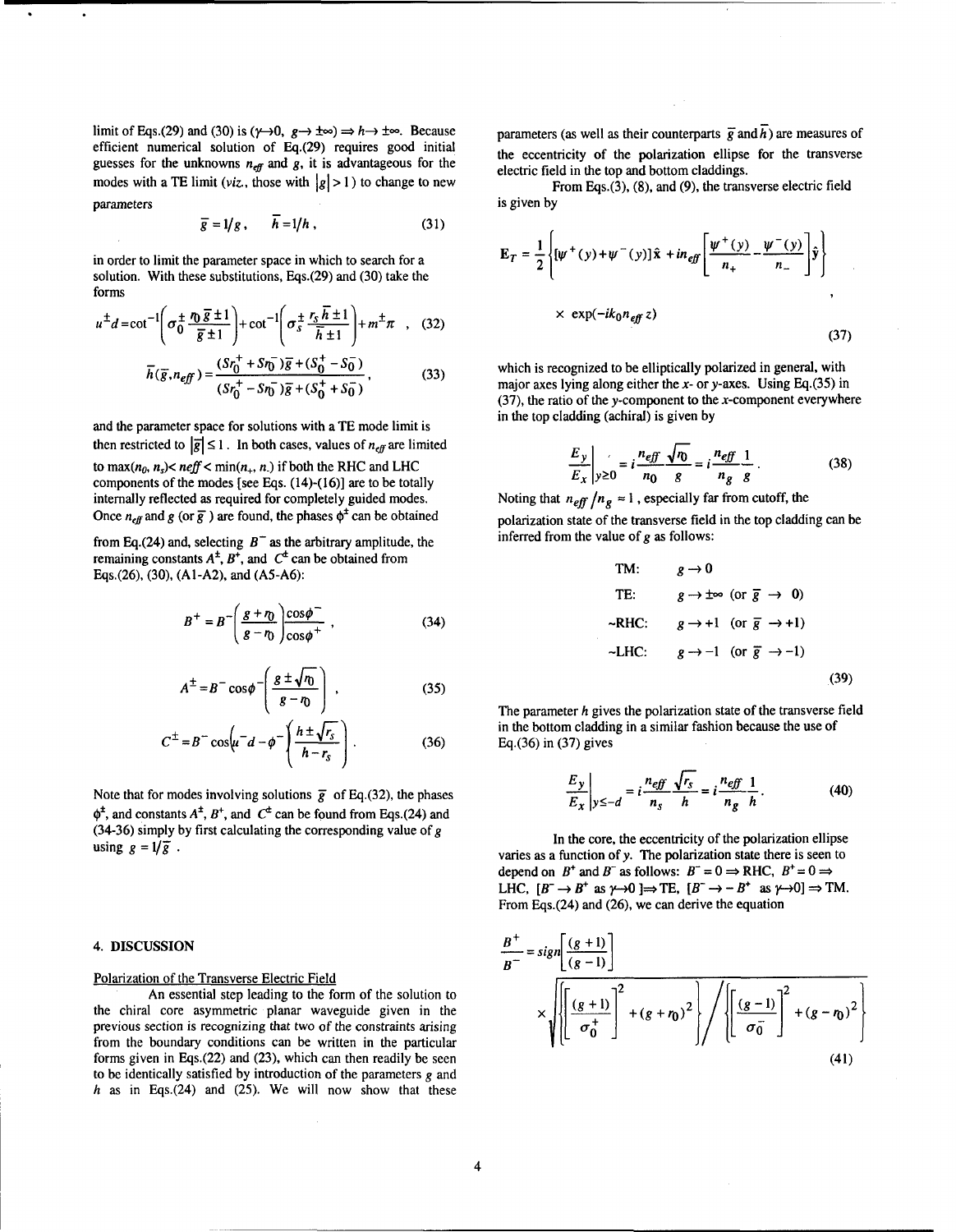limit of Eqs.(29) and (30) is ( $\gamma \rightarrow 0$ ,  $g \rightarrow \pm \infty$ )  $\Rightarrow h \rightarrow \pm \infty$ . Because efficient numerical solution of Eq.(29) requires good initial guesses for the unknowns  $n_{\text{eff}}$  and g, it is advantageous for the modes with a TE limit (*viz.*, those with  $|g| > 1$ ) to change to new parameters

$$
\overline{g} = 1/g, \qquad \overline{h} = 1/h, \qquad (31)
$$

in order to limit the parameter space in which to search for a solution. With these substitutions, Eqs.(29) and (30) take the forms

$$
u^{\pm}d = \cot^{-1}\left(\sigma_0^{\pm} \frac{\eta_0 \overline{g} \pm 1}{\overline{g} \pm 1}\right) + \cot^{-1}\left(\sigma_s^{\pm} \frac{r_s \overline{h} \pm 1}{\overline{h} \pm 1}\right) + m^{\pm}\pi \quad , \quad (32)
$$

$$
\overline{h}(\overline{g}, n_{\text{eff}}) = \frac{(Sr_0^+ + Sn_0^-)\overline{g} + (S_0^+ - S_0^-)}{(Sr_0^+ - Sn_0^-)\overline{g} + (S_0^+ + S_0^-)},
$$
\n(33)

and the parameter space for solutions with a TE mode limit is then restricted to  $|\overline{g}| \le 1$ . In both cases, values of  $n_{\text{eff}}$  are limited to  $\max(n_0, n_s) < \text{neff} < \min(n_+, n_+)$  if both the RHC and LHC components of the modes [see Eqs. (14)-(16)] are to be totally internally reflected as required for completely guided modes. Once  $n_{\text{eff}}$  and g (or  $\bar{g}$ ) are found, the phases  $\phi^{\pm}$  can be obtained

from Eq.(24) and, selecting  $B^-$  as the arbitrary amplitude, the remaining constants  $A^{\pm}$ ,  $B^{\pm}$ , and  $C^{\pm}$  can be obtained from Eqs.(26), (30), (Al-A2), and (AS-A6):

$$
B^{+} = B^{-} \left( \frac{g + r_0}{g - r_0} \right) \frac{\cos \phi^{-}}{\cos \phi^{+}} , \qquad (34)
$$

$$
A^{\pm} = B^{-} \cos \phi \left( \frac{g \pm \sqrt{n}}{g - n} \right) , \qquad (35)
$$

$$
C^{\pm} = B^{-} \cos \left( u^{-} d - \phi^{-} \left( \frac{h \pm \sqrt{r_s}}{h - r_s} \right) \right). \tag{36}
$$

Note that for modes involving solutions  $\bar{g}$  of Eq.(32), the phases  $\phi^{\pm}$ , and constants  $A^{\pm}$ ,  $B^{\pm}$ , and  $C^{\pm}$  can be found from Eqs.(24) and (34-36) simply by first calculating the corresponding value of **g**  using  $g = 1/\overline{g}$ .

# 4. **DISCUSSION**

### Polarization of the Transverse Electric Field

An essential step leading to the form of the solution to the chiral core asymmetric planar waveguide given in the previous section is recognizing that two of the constraints arising from the boundary conditions can be written in the particular forms given in Eqs.(22) and (23), which can then readily be seen to be identically satisfied by introduction of the parameters **g** and  $h$  as in Eqs.(24) and (25). We will now show that these parameters (as well as their counterparts  $\vec{g}$  and  $\vec{h}$ ) are measures of the eccentricity of the polarization ellipse for the transverse electric field in the top and bottom claddings.

From Eqs.(3), **(8).** and (9), the transverse electric field is given by

$$
\mathbf{E}_T = \frac{1}{2} \left\{ \left[ \psi^+(y) + \psi^-(y) \right] \hat{\mathbf{x}} + in_{\text{eff}} \left[ \frac{\psi^+(y)}{n_+} - \frac{\psi^-(y)}{n_-} \right] \hat{\mathbf{y}} \right\}
$$
  
 
$$
\times \exp(-ik_0 n_{\text{eff}} z)
$$
 (37)

which is recognized to be elliptically polarized in general, with major axes lying along either the x- or y-axes. Using Eq.(35) in  $(37)$ , the ratio of the y-component to the x-component everywhere in the top cladding (achiral) is given by

$$
\frac{E_y}{E_x}\bigg|_{y\geq 0} = i\frac{n_{\text{eff}}}{n_0}\frac{\sqrt{n_0}}{g} = i\frac{n_{\text{eff}}}{n_g}\frac{1}{g}.
$$
\n(38)

Noting that  $n_{\text{eff}} / n_g \approx 1$ , especially far from cutoff, the polarization state of the transverse field in the top cladding can be inferred from the value of  $g$  as follows:

TM:

\n
$$
g \rightarrow 0
$$
\nTE:

\n
$$
g \rightarrow \pm \infty \text{ (or } \overline{g} \rightarrow 0)
$$
\n
$$
\sim \text{RHC:} \qquad g \rightarrow +1 \text{ (or } \overline{g} \rightarrow +1)
$$
\n
$$
\sim \text{LHC:} \qquad g \rightarrow -1 \text{ (or } \overline{g} \rightarrow -1)
$$
\n(39)

The parameter *h* gives the polarization state of the transverse field in the bottom cladding in a similar fashion because the use of Eq.(36) in (37) gives

$$
\frac{E_y}{E_x}\bigg|_{y\leq -d} = i\frac{n_{\text{eff}}}{n_s}\frac{\sqrt{r_s}}{h} = i\frac{n_{\text{eff}}}{n_g}\frac{1}{h}.
$$
 (40)

In the core, the eccentricity of the polarization ellipse varies as a function of y. The polarization state there is seen to depend on  $B^+$  and  $B^-$  as follows:  $B^- = 0 \Rightarrow RHC$ ,  $B^+ = 0 \Rightarrow$ depend on  $B^+$  and  $B^-$  as follows:  $B^- = 0 \Rightarrow$  RHC,  $B^+ = 0 \Rightarrow$  LHC,  $[B^- \rightarrow B^+$  as  $\gamma \rightarrow 0] \Rightarrow$  TM. From Eqs.(24) and (26), we can derive the equation

$$
\frac{B^+}{B^-} = sign \left[ \frac{(g+1)}{(g-1)} \right]
$$
  
 
$$
\times \sqrt{\left\{ \left[ \frac{(g+1)}{\sigma_0^+} \right]^2 + (g+\eta_0)^2 \right\} / \left\{ \left[ \frac{(g-1)}{\sigma_0^-} \right]^2 + (g-\eta_0)^2 \right\}}
$$
  
(41)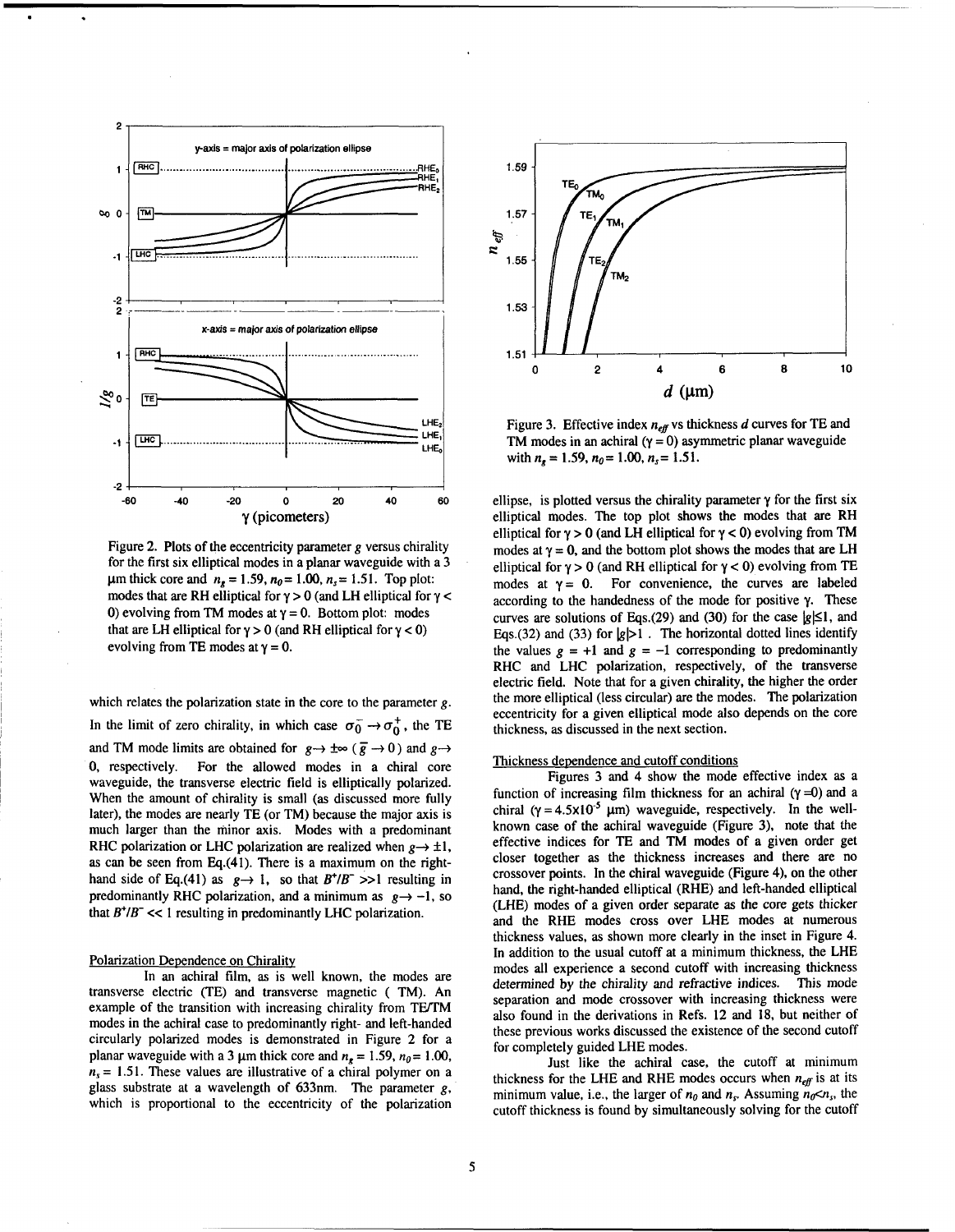

Figure 2. Plots of the eccentricity parameter **g** versus chirality for the first six elliptical modes in a planar waveguide with a 3  $\mu$ m thick core and  $n_r = 1.59$ ,  $n_\theta = 1.00$ ,  $n_s = 1.51$ . Top plot: modes that are RH elliptical for  $\gamma > 0$  (and LH elliptical for  $\gamma$  < 0) evolving from TM modes at  $y = 0$ . Bottom plot: modes that are LH elliptical for  $\gamma > 0$  (and RH elliptical for  $\gamma < 0$ ) evolving from TE modes at  $\gamma = 0$ .

which relates the polarization state in the core to the parameter **g.** 

In the limit of zero chirality, in which case  $\sigma_0^- \rightarrow \sigma_0^+$ , the TE and TM mode limits are obtained for  $g \rightarrow \pm \infty$  ( $\overline{g} \rightarrow 0$ ) and  $g \rightarrow$ 0, respectively. For the allowed modes in a chiral core waveguide, the transverse electric field is elliptically polarized. When the amount of chirality is small (as discussed more fully later), the modes are nearly TE (or TM) because the major axis is much larger than the minor axis. Modes with a predominant RHC polarization or LHC polarization are realized when  $g \rightarrow \pm 1$ , as can be seen from Eq.(41). There is a maximum on the righthand side of Eq.(41) as  $g \rightarrow 1$ , so that  $B^+/B^- >> 1$  resulting in predominantly RHC polarization, and a minimum as  $g \rightarrow -1$ , so that  $B^{\dagger}/B^- \ll 1$  resulting in predominantly LHC polarization.

#### Polarization Dependence on Chirality

In an achiral film, as is well known, the modes are transverse electric (TE) and transverse magnetic ( TM). An example of the transition with increasing chirality from TEVTM modes in the achiral case to predominantly right- and left-handed circularly polarized modes is demonstrated in Figure 2 for a planar waveguide with a 3  $\mu$ m thick core and  $n_e = 1.59$ ,  $n_0 = 1.00$ ,  $n<sub>s</sub> = 1.51$ . These values are illustrative of a chiral polymer on a glass substrate at a wavelength of 633nm. The parameter **g,**  which is proportional to the eccentricity of the polarization



Figure 3. Effective index  $n_{\text{eff}}$  vs thickness d curves for TE and TM modes in an achiral  $(y = 0)$  asymmetric planar waveguide with  $n_s = 1.59$ ,  $n_0 = 1.00$ ,  $n_s = 1.51$ .

ellipse, is plotted versus the chirality parameter  $\gamma$  for the first six elliptical modes. The top plot shows the modes that are RH elliptical for  $\gamma > 0$  (and LH elliptical for  $\gamma < 0$ ) evolving from TM modes at  $y = 0$ , and the bottom plot shows the modes that are LH elliptical for  $\gamma > 0$  (and RH elliptical for  $\gamma < 0$ ) evolving from TE modes at  $y = 0$ . For convenience, the curves are labeled according to the handedness of the mode for positive y. These curves are solutions of Eqs.(29) and (30) for the case  $|g|\leq 1$ , and Eqs.(32) and (33) for  $|g|>1$ . The horizontal dotted lines identify the values  $g = +1$  and  $g = -1$  corresponding to predominantly RHC and LHC polarization, respectively, of the transverse electric field. Note that for a given chirality, the higher the order the more elliptical (less circular) are the modes. The polarization eccentricity for a given elliptical mode also depends on the core thickness. as discussed in the next section.

# Thickness dependence and cutoff conditions

Figures 3 and 4 show the mode effective index as a function of increasing film thickness for an achiral  $(\gamma = 0)$  and a chiral ( $\gamma = 4.5 \times 10^{-5}$  µm) waveguide, respectively. In the wellknown case of the achiral waveguide (Figure 3), note that the effective indices for TE and TM modes of a given order get closer together as the thickness increases and there are no crossover points. In the chiral waveguide (Figure 4), on the other hand, the right-handed elliptical (RHE) and left-handed elliptical (LHE) modes of a given order separate as the core gets thicker and the RHE modes cross over LHE modes at numerous thickness values, as shown more clearly in the inset in Figure 4. In addition to the usual cutoff at a minimum thickness, the LHE modes all experience a second cutoff with increasing thickness determined by the chirality and refractive indices. This mode separation and mode crossover with increasing thickness were also found in the derivations in Refs. 12 and 18, but neither of these previous works discussed the existence of the second cutoff for completely guided LHE modes.

Just like the achiral case, the cutoff at minimum thickness for the LHE and RHE modes occurs when  $n_{\text{eff}}$  is at its minimum value, i.e., the larger of  $n_0$  and  $n_s$ . Assuming  $n_0 < n_s$ , the cutoff thickness is found by simultaneously solving for the cutoff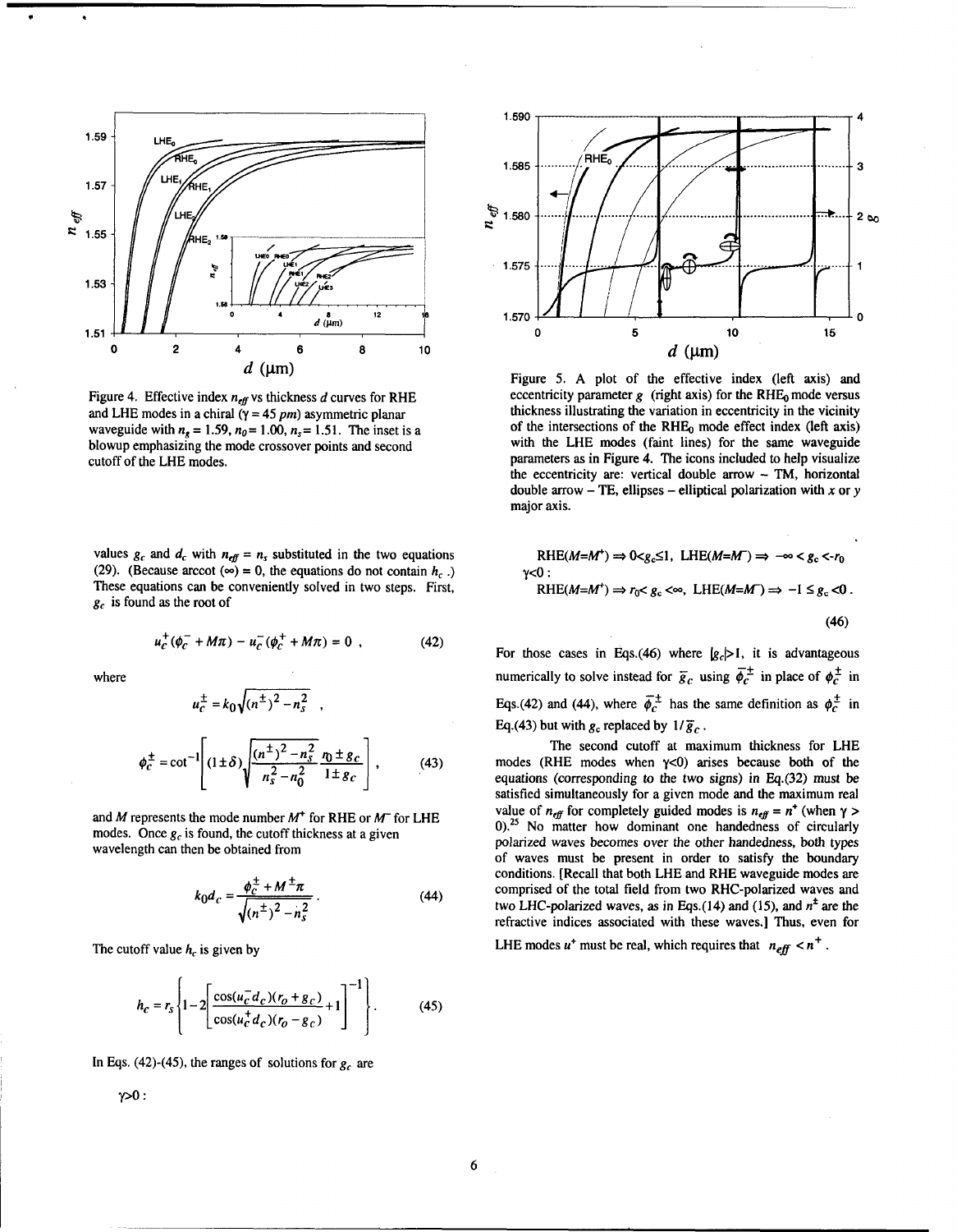

Figure 4. Effective index  $n_{\text{eff}}$  vs thickness  $d$  curves for RHE and LHE modes in a chiral  $\tilde{y} = 45$  pm) asymmetric planar waveguide with  $n_e = 1.59$ ,  $n_0 = 1.00$ ,  $n_s = 1.51$ . The inset is a blowup emphasizing the mode crossover points and second cutoff of the LHE modes.

values  $g_c$  and  $d_c$  with  $n_{eff} = n_s$  substituted in the two equations (29). (Because arccot ( $\infty$ ) = 0, the equations do not contain *h<sub>c</sub>*.) These equations can be conveniently solved in two steps. First, **g,** is found as the root of

$$
u_c^+ (\phi_c^- + M\pi) - u_c^- (\phi_c^+ + M\pi) = 0 \t\t(42)
$$

where

$$
u_c^{\pm} = k_0 \sqrt{(n^{\pm})^2 - n_s^2} \quad ,
$$

$$
\phi_C^{\pm} = \cot^{-1} \left[ (1 \pm \delta) \sqrt{\frac{(n^{\pm})^2 - n_s^2}{n_s^2 - n_0^2}} \frac{r_0 \pm g_c}{1 \pm g_c} \right],
$$
 (43)

and M represents the mode number **M+** for RHE or **M-** for LHE modes. Once  $g_c$  is found, the cutoff thickness at a given wavelength can then be obtained from

$$
k_0 d_c = \frac{\phi_c^{\pm} + M^{\pm} \pi}{\sqrt{(n^{\pm})^2 - n_s^2}}.
$$
 (44)

The cutoff value  $h_c$  is given by

 $\gamma > 0$ :

$$
h_c = r_s \left\{ 1 - 2 \left[ \frac{\cos(u_c^- d_c)(r_o + g_c)}{\cos(u_c^+ d_c)(r_o - g_c)} + 1 \right]^{-1} \right\}.
$$
 (45)

In Eqs. (42)-(45), the ranges of solutions for  $g_c$  are

1.590  $H\mathsf{H}$ 1.585 Ŕ  $n_{\textit{eff}}$ 1.580  $2<sub>0</sub>$ 1.575 1 1.570 n O 5 10 15  $d$  (µm)

Figure 5. A plot of the effective index (left axis) and eccentricity parameter  $g$  (right axis) for the RHE<sub>0</sub> mode versus thickness illustrating the variation in eccentricity in the vicinity of the intersections of the RHEo mode effect index (left axis) with the LHE modes (faint lines) for the same waveguide parameters as in Figure 4. The icons included to help visualize the eccentricity are: vertical double arrow - **TM,** horizontal double arrow  $-$  TE, ellipses  $-$  elliptical polarization with x or y major axis.

RHE(
$$
M=M^+
$$
)  $\Rightarrow$  0 $\lt g_c \le 1$ , LHE( $M=M^-$ )  $\Rightarrow$   $-\infty < g_c < r_0$   
 $\lt 0$ :  
RHE( $M=M^+$ )  $\Rightarrow$   $r_0 < g_c < \infty$ , LHE( $M=M^-$ )  $\Rightarrow -1 \le g_c < 0$ .  
(46)

For those cases in Eqs.(46) where  $|g_c| > 1$ , it is advantageous numerically to solve instead for  $\bar{g}_c$  using  $\bar{\phi}_c^{\pm}$  in place of  $\phi_c^{\pm}$  in Eqs.(42) and (44), where  $\overline{\phi}_c^{\pm}$  has the same definition as  $\phi_c^{\pm}$  in Eq.(43) but with  $g_c$  replaced by  $1/\overline{g}_c$ .

The second cutoff at maximum thickness for LHE modes (RHE modes when  $\gamma$ <0) arises because both of the equations (corresponding to the two signs) in Eq.(32) must be satisfied simultaneously for a given mode and the maximum real value of  $n_{\text{eff}}$  for completely guided modes is  $n_{\text{eff}} = n^+$  (when  $\gamma$ ) **0):'** No matter how dominant one handedness of circularly polarized waves becomes over the other handedness, both types of waves must be present in order to satisfy the boundary conditions. [Recall that both LHE and RHE waveguide modes are comprised of the total field from two RHC-polarized waves and two LHC-polarized waves, as in Eqs.(14) and (15), and  $n^{\pm}$  are the refractive indices associated with these waves.] Thus, even for

LHE modes  $u^+$  must be real, which requires that  $n_{\text{eff}} < n^+$ .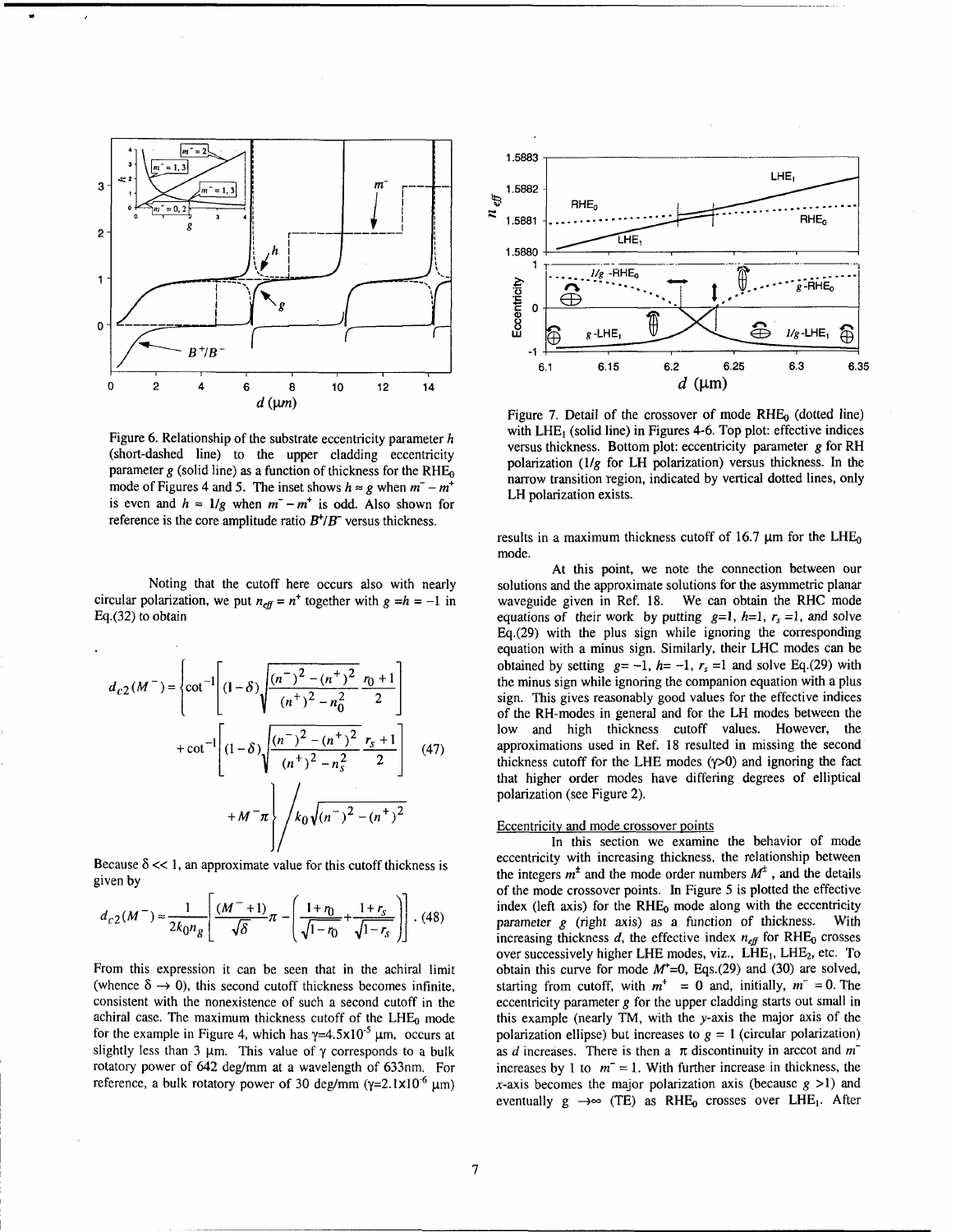

Figure **6.** Relationship of the substrate eccentricity parameter *h*  (short-dashed line) to the upper cladding eccentricity parameter  $g$  (solid line) as a function of thickness for the RHE<sub>0</sub> mode of Figures 4 and 5. The inset shows  $h \approx g$  when  $m^- - m^+$ is even and  $h \approx 1/g$  when  $m^- - m^+$  is odd. Also shown for reference is the core amplitude ratio  $B^{\dagger}/B$  versus thickness.

Noting that the cutoff here occurs also with nearly circular polarization, we put  $n_{\text{eff}} = n^+$  together with  $g = h = -1$  in Eq.(32) to obtain

$$
d_{c2}(M^{-}) = \left\{ \cot^{-1} \left[ (1-\delta) \sqrt{\frac{(n^{-})^2 - (n^{+})^2}{(n^{+})^2 - n_0^2}} \frac{r_0 + 1}{2} \right] + \cot^{-1} \left[ (1-\delta) \sqrt{\frac{(n^{-})^2 - (n^{+})^2}{(n^{+})^2 - n_s^2}} \frac{r_s + 1}{2} \right] + M^{-} \pi \right\} / k_0 \sqrt{(n^{-})^2 - (n^{+})^2}
$$
(47)

Because  $\delta \ll 1$ , an approximate value for this cutoff thickness is given by

$$
d_{c2}(M^-) \approx \frac{1}{2k_0 n_g} \left[ \frac{(M^-+1)}{\sqrt{\delta}} \pi - \left( \frac{1+\eta_0}{\sqrt{1-\eta_0}} + \frac{1+r_s}{\sqrt{1-r_s}} \right) \right]. \tag{48}
$$

From this expression it can be seen that in the achiral limit (whence  $\delta \rightarrow 0$ ), this second cutoff thickness becomes infinite, consistent with the nonexistence of such a second cutoff in the achiral case. The maximum thickness cutoff of the  $LHE_0$  mode for the example in Figure 4, which has  $y=4.5\times10^{-5}$  µm, occurs at slightly less than 3  $\mu$ m. This value of  $\gamma$  corresponds to a bulk rotatory power of 642 deg/mm at a wavelength of 633nm. For reference, a bulk rotatory power of 30 deg/mm ( $\gamma$ =2.1×10<sup>-6</sup> µm)



Figure 7. Detail of the crossover of mode  $RHE_0$  (dotted line) with LHE, (solid line) in Figures **4-6.** Top plot: effective indices versus thickness. Bottom plot: eccentricity parameter *g* for RH polarization ( $1/g$  for LH polarization) versus thickness. In the narrow transition region, indicated by vertical dotted lines, only LH polarization exists.

results in a maximum thickness cutoff of 16.7  $\mu$ m for the LHE<sub>0</sub> mode.

At this point, we note the connection between our solutions and the approximate solutions for the asymmetric planar waveguide given in Ref. 18. We can obtain the RHC mode equations of their work by putting  $g=1$ ,  $h=1$ ,  $r_s=1$ , and solve  $Eq.(29)$  with the plus sign while ignoring the corresponding equation with a minus sign. Similarly, their LHC modes can be obtained by setting  $g = -1$ ,  $h = -1$ ,  $r_s = 1$  and solve Eq.(29) with the minus sign while ignoring the companion equation with a plus sign. This gives reasonably good values for the effective indices of the RH-modes in general and for the LH modes between the low and high thickness cutoff values. However, the approximations used in Ref. 18 resulted in missing the second thickness cutoff for the LHE modes  $(\gamma > 0)$  and ignoring the fact that higher order modes have differing degrees of elliptical polarization (see Figure 2).

#### Eccentricity and mode crossover points

In this section we examine the behavior of mode eccentricity with increasing thickness, the relationship between the integers  $m^{\pm}$  and the mode order numbers  $M^{\pm}$ , and the details of the mode crossover points. In Figure 5 is plotted the effective index (left axis) for the  $RHE_0$  mode along with the eccentricity<br>parameter  $\rho$  (right axis) as a function of thickness. With parameter  $g$  (right axis) as a function of thickness. increasing thickness  $d$ , the effective index  $n_{\text{eff}}$  for RHE<sub>0</sub> crosses over successively higher LHE modes, viz.,  $\widetilde{LHE}_1$ , LHE<sub>2</sub>, etc. To obtain this curve for mode  $M^{\dagger}=0$ , Eqs.(29) and (30) are solved, starting from cutoff, with  $m^+ = 0$  and, initially,  $m^- = 0$ . The eccentricity parameter *g* for the upper cladding starts out small in this example (nearly TM, with the y-axis the major axis of the polarization ellipse) but increases to  $g = 1$  (circular polarization) as *d* increases. There is then a  $\pi$  discontinuity in arccot and  $m<sup>2</sup>$ increases by 1 to  $m = 1$ . With further increase in thickness, the x-axis becomes the major polarization axis (because  $g > 1$ ) and eventually  $g \rightarrow \infty$  (TE) as RHE<sub>0</sub> crosses over LHE<sub>1</sub>. After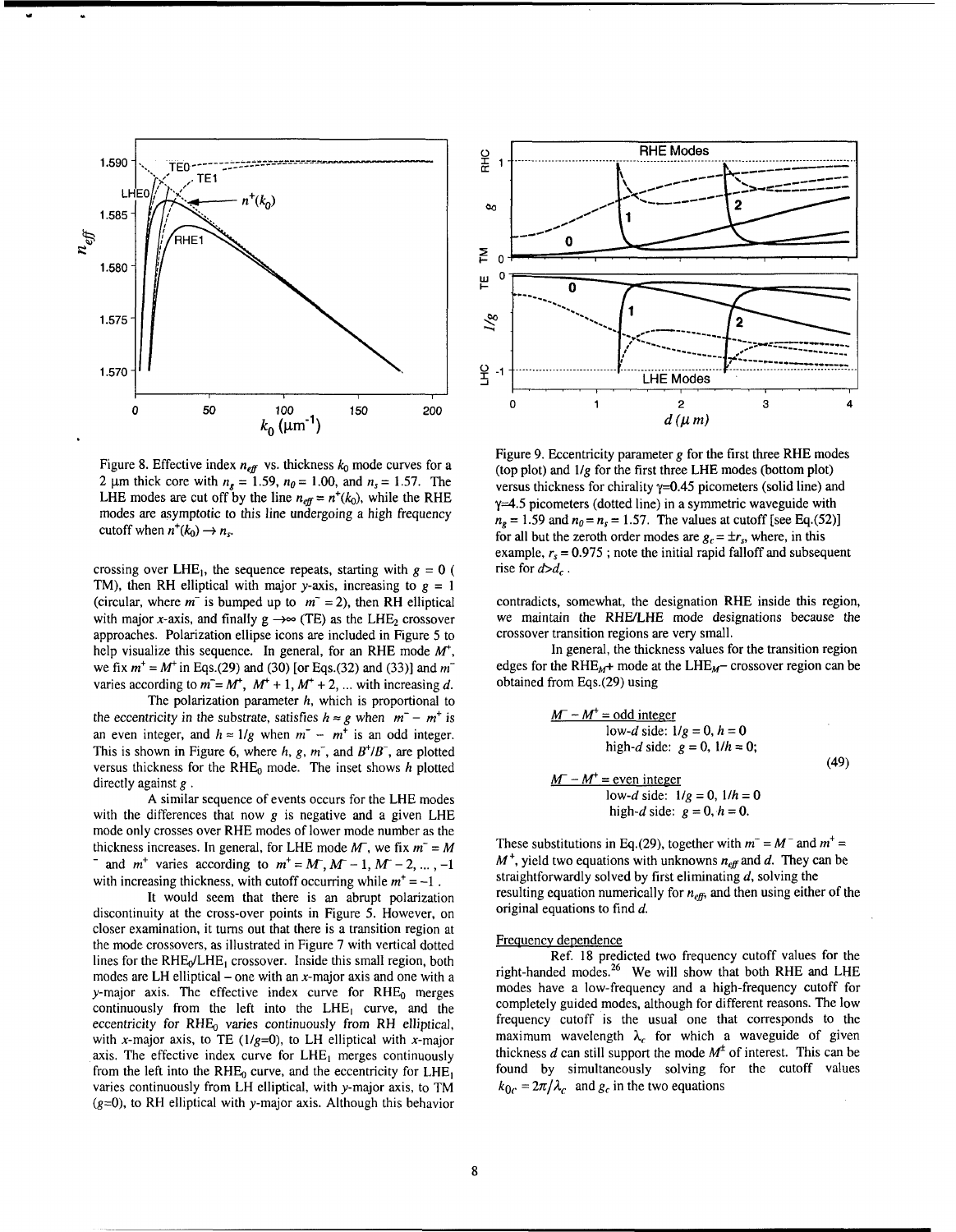

Figure 8. Effective index  $n_{\text{eff}}$  vs. thickness  $k_0$  mode curves for a 2  $\mu$ m thick core with  $n_s = 1.59$ ,  $n_0 = 1.00$ , and  $n_s = 1.57$ . The LHE modes are cut off by the line  $n_{\text{eff}} = n^+(k_0)$ , while the RHE modes are asymptotic to this line undergoing a high frequency cutoff when  $n^+(k_0) \rightarrow n_s$ .

crossing over LHE<sub>1</sub>, the sequence repeats, starting with  $g = 0$  ( TM), then RH elliptical with major y-axis, increasing to  $g = 1$ (circular, where  $m^-$  is bumped up to  $m^- = 2$ ), then RH elliptical with major x-axis, and finally  $g \rightarrow \infty$  (TE) as the LHE<sub>2</sub> crossover approaches. Polarization ellipse icons are included in Figure 5 to help visualize this sequence. In general, for an RHE mode  $M^*$ , we fix  $m^+ = M^+$  in Eqs.(29) and (30) [or Eqs.(32) and (33)] and  $m^$ varies according to  $m = M^+$ ,  $M^+ + 1$ ,  $M^+ + 2$ , ... with increasing d.

The polarization parameter  $h$ , which is proportional to the eccentricity in the substrate, satisfies  $h \approx g$  when  $m^- - m^+$  is an even integer, and  $h \approx 1/g$  when  $m^{-} - m^{+}$  is an odd integer. This is shown in Figure 6, where h, g,  $m^{-}$ , and  $B^{+}/B^{-}$ , are plotted versus thickness for the  $RHE_0$  mode. The inset shows h plotted directly against  $g$ .

A similar sequence of events occurs for the LHE modes with the differences that now  $g$  is negative and a given LHE mode only crosses over RHE modes of lower mode number as the thickness increases. In general, for LHE mode *M*-, we fix  $m^2 = M$ <br>and  $m^+$  varies according to  $m^+ = M$ ,  $M - 1$ ,  $M - 2$ , ..., -1 with increasing thickness, with cutoff occurring while  $m<sup>+</sup> = -1$ .

It would seem that there is an abrupt polarization discontinuity at the cross-over points in Figure 5. However, on closer examination, it turns out that there is a transition region at the mode crossovers, as illustrated in Figure 7 with vertical dotted lines for the  $RHE_0/LHE_1$  crossover. Inside this small region, both modes are LH elliptical – one with an  $x$ -major axis and one with a y-major axis. The effective index curve for  $RHE_0$  merges continuously from the left into the  $LHE_1$  curve, and the eccentricity for  $RHE_0$  varies continuously from RH elliptical, with x-major axis, to TE ( $1/g=0$ ), to LH elliptical with x-major axis. The effective index curve for  $LHE_1$  merges continuously from the left into the RHE<sub>0</sub> curve, and the eccentricity for  $LHE_1$ varies continuously from LH elliptical, with y-major axis, to TM  $(g=0)$ , to RH elliptical with y-major axis. Although this behavior



Figure 9. Eccentricity parameter g for the first three RHE modes (top plot) and  $1/g$  for the first three LHE modes (bottom plot) versus thickness for chirality  $y=0.45$  picometers (solid line) and  $y=4.5$  picometers (dotted line) in a symmetric waveguide with  $n<sub>s</sub> = 1.59$  and  $n<sub>0</sub> = n<sub>s</sub> = 1.57$ . The values at cutoff [see Eq.(52)] for all but the zeroth order modes are  $g_c = \pm r_s$ , where, in this example,  $r_s = 0.975$ ; note the initial rapid falloff and subsequent rise for  $d>d_c$ .

contradicts, somewhat, the designation RHE inside this region, we maintain the RHEILHE mode designations because the crossover transition regions are very small.

In general, the thickness values for the transition region edges for the RHE<sub>M</sub>+ mode at the LHE<sub>M</sub> crossover region can be obtained from Eqs.(29) using

$$
\underline{M^- - M^+} = \text{odd integer}
$$
  
\nlow-d side: 1/g = 0, h = 0  
\nhigh-d side: g = 0, 1/h = 0;  
\n
$$
\underline{M^- - M^+} = \text{even integer}
$$
  
\nlow-d side: 1/g = 0, 1/h = 0  
\nhigh-d side: g = 0, h = 0.

These substitutions in Eq.(29), together with  $m^- = M^-$  and  $m^+ =$  $M^+$ , yield two equations with unknowns  $n_{\text{eff}}$  and d. They can be straightforwardly solved by first eliminating  $d$ , solving the resulting equation numerically for  $n_{\text{eff}}$ , and then using either of the original equations to find  $d$ .

#### Frequency dependence

Ref. 18 predicted two frequency cutoff values for the right-handed modes.<sup>26</sup> We will show that both RHE and LHE modes have a low-frequency and a high-frequency cutoff for completely guided modes, although for different reasons. The low frequency cutoff is the usual one that corresponds to the maximum wavelength  $\lambda_c$  for which a waveguide of given thickness d can still support the mode  $M^{\pm}$  of interest. This can be found by simultaneously solving for the cutoff values  $k_{0c} = 2\pi/\lambda_c$  and  $g_c$  in the two equations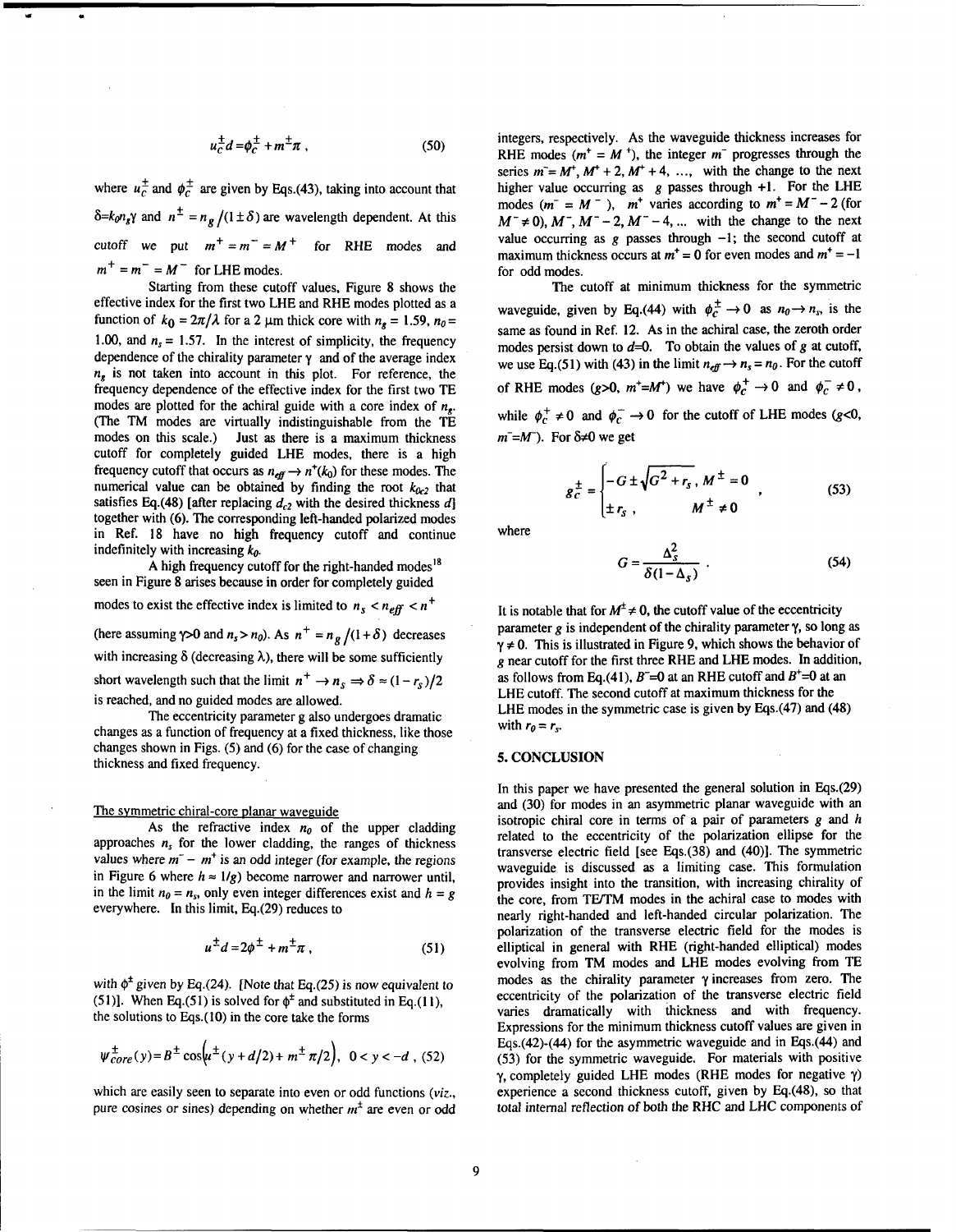$$
u_c^{\pm}d = \phi_c^{\pm} + m^{\pm}\pi , \qquad (50)
$$

where  $u_c^{\pm}$  and  $\phi_c^{\pm}$  are given by Eqs.(43), taking into account that  $\delta = k_0 n_s \gamma$  and  $n^{\pm} = n_g/(1 \pm \delta)$  are wavelength dependent. At this cutoff we put  $m^+ = m^- = M^+$  for RHE modes and  $m^+ = m^- = M^-$  for LHE modes.

Starting from these cutoff values, Figure 8 shows the effective index for the first two LHE and RHE modes plotted as a function of  $k_0 = 2\pi/\lambda$  for a 2  $\mu$ m thick core with  $n_e = 1.59$ ,  $n_0 =$ 1.00, and  $n_s = 1.57$ . In the interest of simplicity, the frequency dependence of the chirality parameter  $\gamma$  and of the average index  $n<sub>r</sub>$  is not taken into account in this plot. For reference, the frequency dependence of the effective index for the first two TE modes are plotted for the achiral guide with a core index of  $n_e$ . (The **TM** modes are virtually indistinguishable from the **TE**  Just as there is a maximum thickness cutoff for completely guided LHE modes, there is a high frequency cutoff that occurs as  $n_{eff} \rightarrow n^+(k_0)$  for these modes. The numerical value can be obtained by finding the root  $k_{0c2}$  that satisfies Eq.(48) [after replacing  $d_{c2}$  with the desired thickness  $d$ ] together with (6). The corresponding left-handed polarized modes in Ref. 18 have no high frequency cutoff and continue indefinitely with increasing  $k_0$ .

A high frequency cutoff for the right-handed modes<sup>18</sup> seen in Figure 8 arises because in order for completely guided

modes to exist the effective index is limited to  $n_s < n_{eff} < n^+$ (here assuming  $\gamma > 0$  and  $n_s > n_0$ ). As  $n^+ = n_g/(1+\delta)$  decreases with increasing  $\delta$  (decreasing  $\lambda$ ), there will be some sufficiently short wavelength such that the limit  $n^+ \rightarrow n_s \Rightarrow \delta \approx (1 - r_s)/2$ is reached, and no guided modes are allowed.

The eccentricity parameter g also undergoes dramatic changes as a function of frequency at a fixed thickness, like those changes shown in Figs. (5) and (6) for the case of changing thickness and fixed frequency.

# The symmetric chiral-core planar waveguide

As the refractive index  $n_0$  of the upper cladding approaches  $n<sub>s</sub>$  for the lower cladding, the ranges of thickness values where  $m^-$  -  $m^+$  is an odd integer (for example, the regions in Figure 6 where  $h \approx 1/g$ ) become narrower and narrower until, in the limit  $n_0 = n_s$ , only even integer differences exist and  $h = g$ everywhere. In this limit, Eq.(29) reduces to

$$
u^{\pm}d=2\phi^{\pm}+m^{\pm}\pi\,,\qquad(51)
$$

with  $\phi^{\pm}$  given by Eq.(24). [Note that Eq.(25) is now equivalent to (51)]. When Eq.(51) is solved for  $\phi^{\pm}$  and substituted in Eq.(11), the solutions to Eqs.(lO) in the core take the forms

$$
\psi_{core}^{\pm}(y) = B^{\pm} \cos \left( \mu^{\pm} (y + d/2) + m^{\pm} \pi/2 \right), \ 0 < y < -d \ , \ (52)
$$

which are easily seen to separate into even or odd functions (viz., pure cosines or sines) depending on whether  $m<sup>+</sup>$  are even or odd integers, respectively. As the waveguide thickness increases for RHE modes ( $m^+ = M^+$ ), the integer  $m^-$  progresses through the series  $m = M^+$ ,  $M^+$  + 2,  $M^+$  + 4, ..., with the change to the next higher value occurring as  $g$  passes through  $+1$ . For the LHE modes  $(m^- = M^-)$ ,  $m^+$  varies according to  $m^+ = M^- - 2$  (for  $M^- \neq 0$ ,  $M^-$ ,  $M^- - 2$ ,  $M^- - 4$ , ... with the change to the next value occurring as  $g$  passes through  $-1$ ; the second cutoff at maximum thickness occurs at  $m^+=0$  for even modes and  $m^+=-1$ for odd modes.

The cutoff at minimum thickness for the symmetric waveguide, given by Eq.(44) with  $\phi_c^{\pm} \rightarrow 0$  as  $n_0 \rightarrow n_s$ , is the same as found in Ref. 12. As in the achiral case, the zeroth order modes persist down to  $d=0$ . To obtain the values of  $g$  at cutoff, we use Eq.(51) with (43) in the limit  $n_{\text{eff}} \rightarrow n_s = n_0$ . For the cutoff of RHE modes  $(g>0, m^+ = M^+)$  we have  $\phi_c^+ \to 0$  and  $\phi_c^- \neq 0$ , while  $\phi_c^+ \neq 0$  and  $\phi_c^- \rightarrow 0$  for the cutoff of LHE modes (g<0,  $m^{-}$ =M<sup>-</sup>). For  $\delta \neq 0$  we get

$$
g_C^{\pm} = \begin{cases} -G \pm \sqrt{G^2 + r_s}, & M^{\pm} = 0 \\ \pm r_s, & M^{\pm} \neq 0 \end{cases}
$$
 (53)

where

$$
G = \frac{\Delta_s^2}{\delta (1 - \Delta_s)} \tag{54}
$$

It is notable that for  $M^{\pm} \neq 0$ , the cutoff value of the eccentricity parameter  $g$  is independent of the chirality parameter  $\gamma$ , so long as  $\gamma \neq 0$ . This is illustrated in Figure 9, which shows the behavior of **g** near cutoff for the first three RHE and LHE modes. In addition, as follows from Eq.(41),  $B = 0$  at an RHE cutoff and  $B^+=0$  at an LHE cutoff. The second cutoff at maximum thickness for the LHE modes in the symmetric case is given by Eqs.(47) and (48) with  $r_0 = r_s$ .

#### **5. CONCLUSION**

In this paper we have presented the general solution in Eqs.(29) and (30) for modes in an asymmetric planar waveguide with an isotropic chiral core in terms of a pair of parameters **g** and h related to the eccentricity of the polarization ellipse for the transverse electric field [see Eqs.(38) and (40)l. The symmetric waveguide is discussed as a limiting case. This formulation provides insight into the transition, with increasing chirality of the core, from TE/TM modes in the achiral case to modes with nearly right-handed and left-handed circular polarization. The polarization of the transverse electric field for the modes is elliptical in general with RHE (right-handed elliptical) modes evolving from TM modes and LHE modes evolving from **TE**  modes as the chirality parameter  $\gamma$  increases from zero. The eccentricity of the polarization of the transverse electric field varies dramatically with thickness and with frequency. Expressions for the minimum thickness cutoff values are given in Eqs.(42)-(44) for the asymmetric waveguide and in Eqs.(44) and (53) for the symmetric waveguide. For materials with positive y, completely guided LHE modes (RHE modes for negative y) experience a second thickness cutoff, given by Eq.(48), so that total internal reflection of both the RHC and LHC components of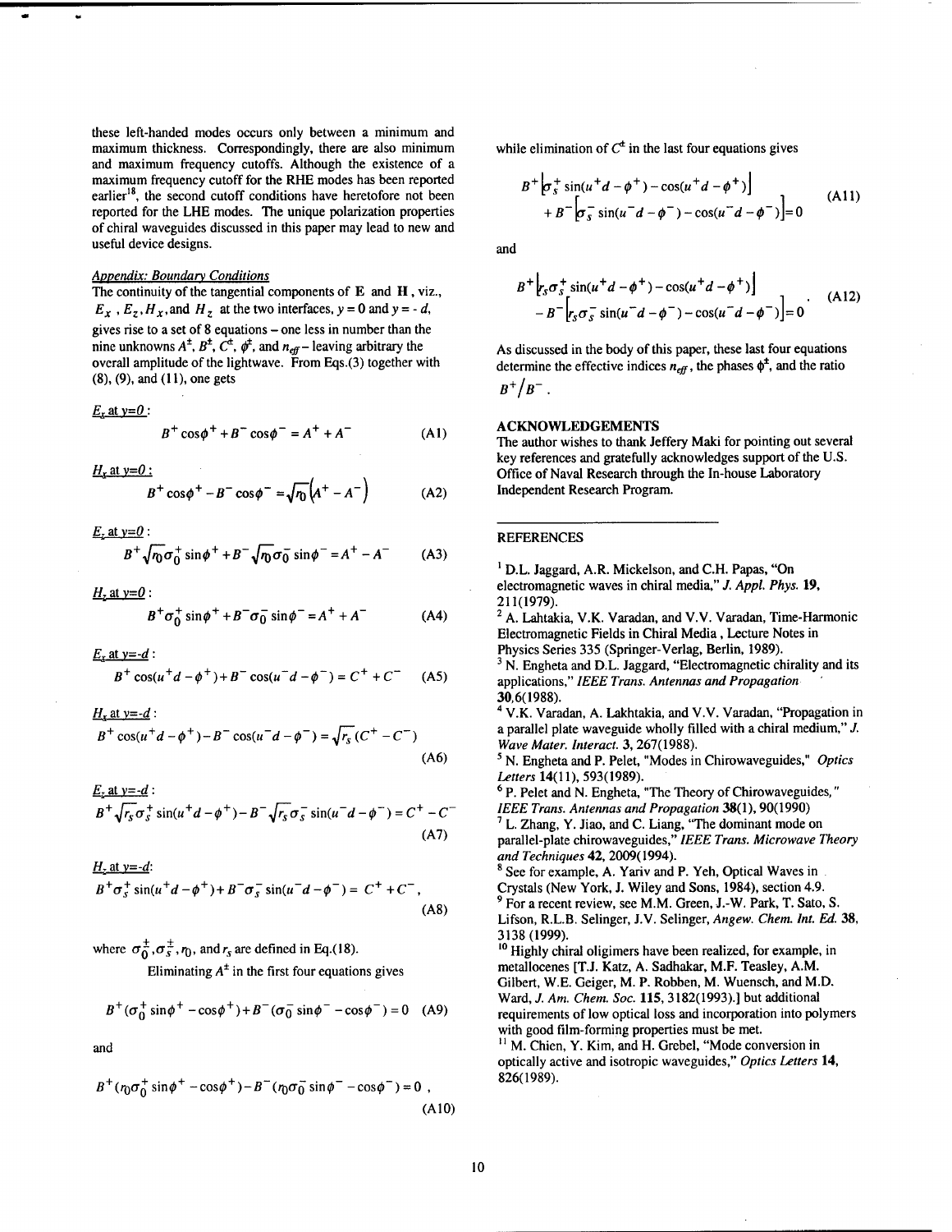these left-handed modes occurs only between a minimum and maximum thickness. Correspondingly, there are also minimum and maximum frequency cutoffs. Although the existence of a maximum frequency cutoff for the RHE modes has been reported earlier<sup>18</sup>, the second cutoff conditions have heretofore not been reported for the LHE modes. The unique polarization properties of chiral waveguides discussed in this paper may lead to new and useful device designs.

# **Appendix: Boundary Conditions**

The continuity of the tangential components of E and **H** , viz.,  $E_x$ ,  $E_z$ ,  $H_x$ , and  $H_z$  at the two interfaces,  $y = 0$  and  $y = -d$ , gives rise to a set of **8** equations -one less in number than the nine unknowns  $A^{\pm}$ ,  $B^{\pm}$ ,  $C^{\pm}$ ,  $\phi^{\pm}$ , and  $n_{\text{eff}}$  – leaving arbitrary the overall amplitude of the lightwave. From **Eqs.(3)** together with **(a), (9),** and **(I 1),** one gets

$$
E_x
$$
 at  $y=0$ :

$$
B^{+} \cos \phi^{+} + B^{-} \cos \phi^{-} = A^{+} + A^{-} \tag{A1}
$$

 $H_r$  at y=0 :

$$
B^{+}\cos\phi^{+}-B^{-}\cos\phi^{-}=\sqrt{r_{0}}\left(A^{+}-A^{-}\right)
$$
 (A2)

 $E_z$  at  $y=0$ :

$$
B^{+}\sqrt{n_{0}}\sigma_{0}^{+}\sin\phi^{+} + B^{-}\sqrt{n_{0}}\sigma_{0}^{-}\sin\phi^{-} = A^{+} - A^{-}
$$
 (A3)

 $H_2$  at  $y=0$ :

$$
B^{+}\sigma_{0}^{+}\sin\phi^{+} + B^{-}\sigma_{0}^{-}\sin\phi^{-} = A^{+} + A^{-}
$$
 (A4)

 $E_x$  at y=-d:

$$
B^{+}\cos(u^{+}d - \phi^{+}) + B^{-}\cos(u^{-}d - \phi^{-}) = C^{+} + C^{-}
$$
 (A5)

 $H_x$  at y=-d:

$$
B^{+}\cos(u^{+}d - \phi^{+}) - B^{-}\cos(u^{-}d - \phi^{-}) = \sqrt{r_{s}}(C^{+} - C^{-})
$$
\n(A6)

$$
\frac{E_z \text{ at } y = -d}{B^+ \sqrt{r_s} \sigma_s^+ \sin(u^+ d - \phi^+) - B^- \sqrt{r_s} \sigma_s^- \sin(u^- d - \phi^-) = C^+ - C^-}
$$
\n(A7)

$$
B^{+}\sigma_{s}^{+}\sin(u^{+}d-\phi^{+})+B^{-}\sigma_{s}^{-}\sin(u^{-}d-\phi^{-})=C^{+}+C^{-},
$$
\n(A8)

where  $\sigma_0^{\pm}$ ,  $\sigma_s^{\pm}$ ,  $r_0$ , and  $r_s$  are defined in Eq.(18).

Eliminating  $A^{\dagger}$  in the first four equations gives

$$
B^{+}(\sigma_0^{+} \sin \phi^{+} - \cos \phi^{+}) + B^{-}(\sigma_0^{-} \sin \phi^{-} - \cos \phi^{-}) = 0
$$
 (A9)

and

$$
B^{+}(\eta \sigma_0^{+} \sin \phi^{+} - \cos \phi^{+}) - B^{-}(\eta \sigma_0^{-} \sin \phi^{-} - \cos \phi^{-}) = 0,
$$
\n(A10)

while elimination of  $C^{\text{t}}$  in the last four equations gives

$$
B^{+}\left[\sigma_{s}^{+}\sin(u^{+}d-\phi^{+})-\cos(u^{+}d-\phi^{+})\right] + B^{-}\left[\sigma_{s}^{-}\sin(u^{-}d-\phi^{-})-\cos(u^{-}d-\phi^{-})\right] = 0
$$
 (A11)

and

$$
B^{+}\left[r_{s}\sigma_{s}^{+}\sin(u^{+}d-\phi^{+})-\cos(u^{+}d-\phi^{+})\right] -B^{-}\left[r_{s}\sigma_{s}^{-}\sin(u^{-}d-\phi^{-})-\cos(u^{-}d-\phi^{-})\right]=0
$$
 (A12)

As discussed in the body of this paper, these last four equations determine the effective indices  $n_{\text{eff}}$ , the phases  $\phi^{\pm}$ , and the ratio  $B^{+}/B^{-}$ .

### ACKNOWLEDGEMENTS

The author wishes to thank Jeffery Maki for pointing out several key references and gratefully acknowledges support of the U.S. Office of Naval Research through the In-house Laboratory Independent Research Program.

### REFERENCES

<sup>1</sup> D.L. Jaggard, A.R. Mickelson, and C.H. Papas, "On electromagnetic waves in chiral media," J. **Appl. Phys. 19, 21 l(1979).** 

 $2$  A. Lahtakia, V.K. Varadan, and V.V. Varadan, Time-Harmonic Electromagnetic Fields in Chiral Media, Lecture Notes in Physics Series **335** (Springer-Verlag, Berlin, **1989).** 

 $3$  N. Engheta and D.L. Jaggard, "Electromagnetic chirality and its applications," **IEEE Trans. Antennas and Propagation** ' **30,6(1988).** 

V.K. Varadan, A. Lakhtakia, and V.V. Varadan, "Propagation in a parallel plate waveguide wholly filled with a chiral medium," J. **Wave Muter. Interact. 3,267(1988).** 

N. Engheta and P. Pelet, "Modes in Chirowaveguides," **Optics Letters 14(1 I), 593(1989).** 

P. Pelet and N. Engheta, "The Theory of Chirowaveguides, " **IEEE Trans. Antennas and Propagation 38(1), 90(1990)** ' L. Zhang, Y. Jiao, and C. Liang, "The dominant mode on

parallel-plate chirowaveguides," **IEEE Trans. Microwave Theory and Techniques 42,2009(1994).** 

<sup>8</sup> See for example, A. Yariv and P. Yeh, Optical Waves in Crystals (New York, J. Wiley and Sons, **1984),** section **4.9.**  <sup>9</sup> For a recent review, see M.M. Green, J.-W. Park, T. Sato, S. Lifson, R.L.B. Selinger, J.V. Selinger, **Angew. Chem. Int.** *Ed.* **38, 3138 (1999).** 

**'O** Highly chiral oligimers have been realized, for example, in metallocenes [T.J. Katz, A. Sadhakar, M.F. Teasley, A.M. Gilbert, W.E. Geiger, M. P. Robben, M. Wuensch, and **M.D.**  Ward, J. **Am. Chem. Soc. 115,3182(1993).]** but additional requirements of low optical loss and incorporation into polymers with good film-forming properties must be met. <sup>11</sup> M. Chien, Y. Kim, and H. Grebel, "Mode conversion in optically active and isotropic waveguides," **Optics Letters 14, 826(1989).**